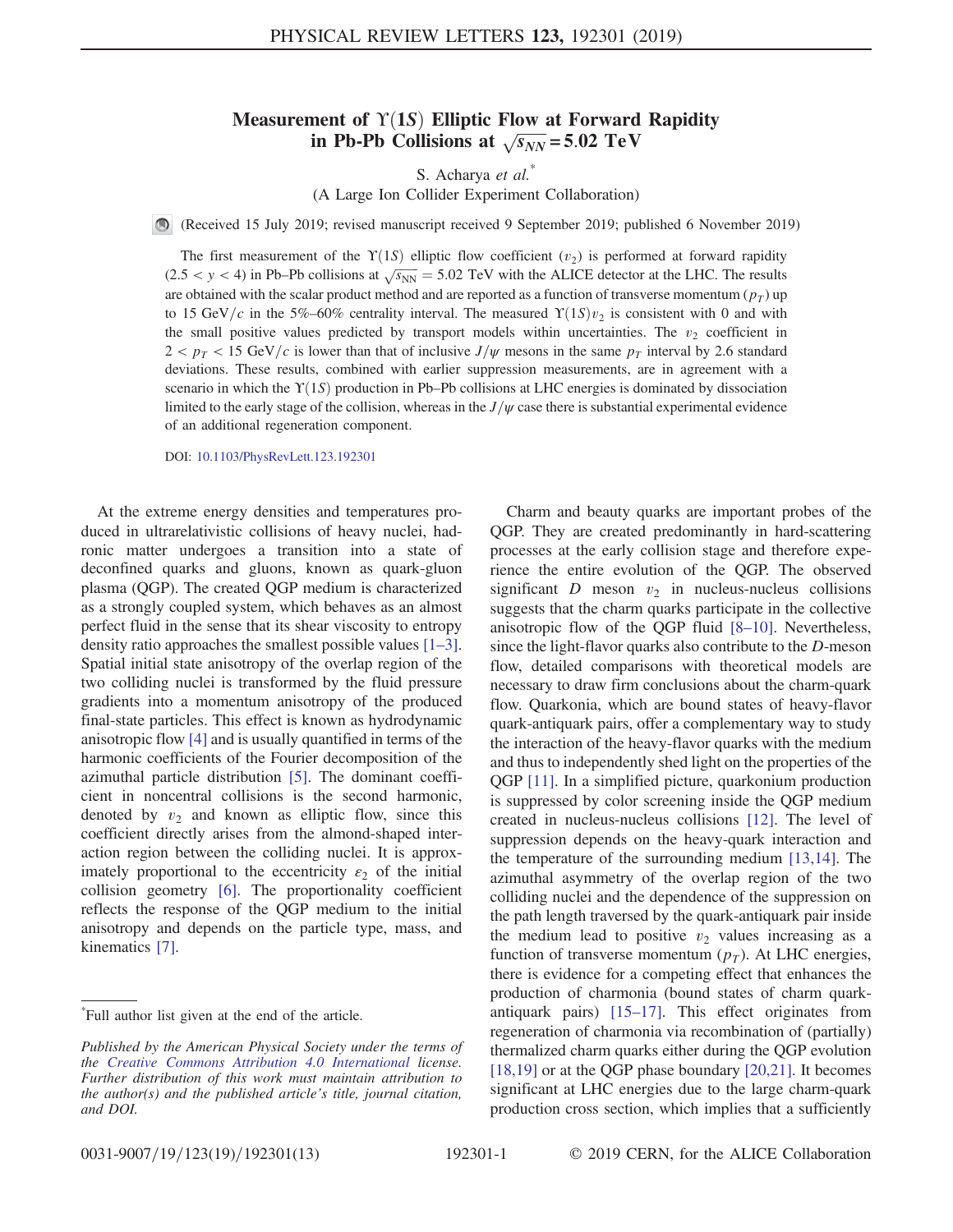## Measurement of  $\Upsilon(1S)$  Elliptic Flow at Forward Rapidity in Pb-Pb Collisions at  $\sqrt{s_{NN}}$  = 5.02 TeV

S. Acharya et al.<sup>\*</sup>

(A Large Ion Collider Experiment Collaboration)

(Received 15 July 2019; revised manuscript received 9 September 2019; published 6 November 2019)

The first measurement of the  $Y(1S)$  elliptic flow coefficient ( $v_2$ ) is performed at forward rapidity  $(2.5 < y < 4)$  in Pb–Pb collisions at  $\sqrt{s_{NN}} = 5.02$  TeV with the ALICE detector at the LHC. The results are obtained with the scalar product method and are reported as a function of transverse momentum ( $p_T$ ) up to 15 GeV/c in the 5%–60% centrality interval. The measured  $\Upsilon(1S)v_2$  is consistent with 0 and with the small positive values predicted by transport models within uncertainties. The  $v_2$  coefficient in  $2 < p_T < 15$  GeV/c is lower than that of inclusive  $J/\psi$  mesons in the same  $p_T$  interval by 2.6 standard deviations. These results, combined with earlier suppression measurements, are in agreement with a scenario in which the  $\Upsilon(1S)$  production in Pb–Pb collisions at LHC energies is dominated by dissociation limited to the early stage of the collision, whereas in the  $J/\psi$  case there is substantial experimental evidence of an additional regeneration component.

DOI: [10.1103/PhysRevLett.123.192301](https://doi.org/10.1103/PhysRevLett.123.192301)

At the extreme energy densities and temperatures produced in ultrarelativistic collisions of heavy nuclei, hadronic matter undergoes a transition into a state of deconfined quarks and gluons, known as quark-gluon plasma (QGP). The created QGP medium is characterized as a strongly coupled system, which behaves as an almost perfect fluid in the sense that its shear viscosity to entropy density ratio approaches the smallest possible values [\[1](#page-5-0)–3]. Spatial initial state anisotropy of the overlap region of the two colliding nuclei is transformed by the fluid pressure gradients into a momentum anisotropy of the produced final-state particles. This effect is known as hydrodynamic anisotropic flow [\[4\]](#page-5-1) and is usually quantified in terms of the harmonic coefficients of the Fourier decomposition of the azimuthal particle distribution [\[5\].](#page-5-2) The dominant coefficient in noncentral collisions is the second harmonic, denoted by  $v_2$  and known as elliptic flow, since this coefficient directly arises from the almond-shaped interaction region between the colliding nuclei. It is approximately proportional to the eccentricity  $\varepsilon_2$  of the initial collision geometry [\[6\]](#page-5-3). The proportionality coefficient reflects the response of the QGP medium to the initial anisotropy and depends on the particle type, mass, and kinematics [\[7\].](#page-5-4)

Charm and beauty quarks are important probes of the QGP. They are created predominantly in hard-scattering processes at the early collision stage and therefore experience the entire evolution of the QGP. The observed significant  $D$  meson  $v_2$  in nucleus-nucleus collisions suggests that the charm quarks participate in the collective anisotropic flow of the QGP fluid [8–[10\]](#page-5-5). Nevertheless, since the light-flavor quarks also contribute to the D-meson flow, detailed comparisons with theoretical models are necessary to draw firm conclusions about the charm-quark flow. Quarkonia, which are bound states of heavy-flavor quark-antiquark pairs, offer a complementary way to study the interaction of the heavy-flavor quarks with the medium and thus to independently shed light on the properties of the QGP [\[11\]](#page-5-6). In a simplified picture, quarkonium production is suppressed by color screening inside the QGP medium created in nucleus-nucleus collisions [\[12\]](#page-5-7). The level of suppression depends on the heavy-quark interaction and the temperature of the surrounding medium [\[13,14\]](#page-5-8). The azimuthal asymmetry of the overlap region of the two colliding nuclei and the dependence of the suppression on the path length traversed by the quark-antiquark pair inside the medium lead to positive  $v_2$  values increasing as a function of transverse momentum  $(p_T)$ . At LHC energies, there is evidence for a competing effect that enhances the production of charmonia (bound states of charm quarkantiquark pairs) [\[15](#page-5-9)–17]. This effect originates from regeneration of charmonia via recombination of (partially) thermalized charm quarks either during the QGP evolution [\[18,19\]](#page-5-10) or at the QGP phase boundary [\[20,21\].](#page-5-11) It becomes significant at LHC energies due to the large charm-quark production cross section, which implies that a sufficiently

<sup>\*</sup> Full author list given at the end of the article.

Published by the American Physical Society under the terms of the [Creative Commons Attribution 4.0 International](https://creativecommons.org/licenses/by/4.0/) license. Further distribution of this work must maintain attribution to the author(s) and the published article's title, journal citation, and DOI.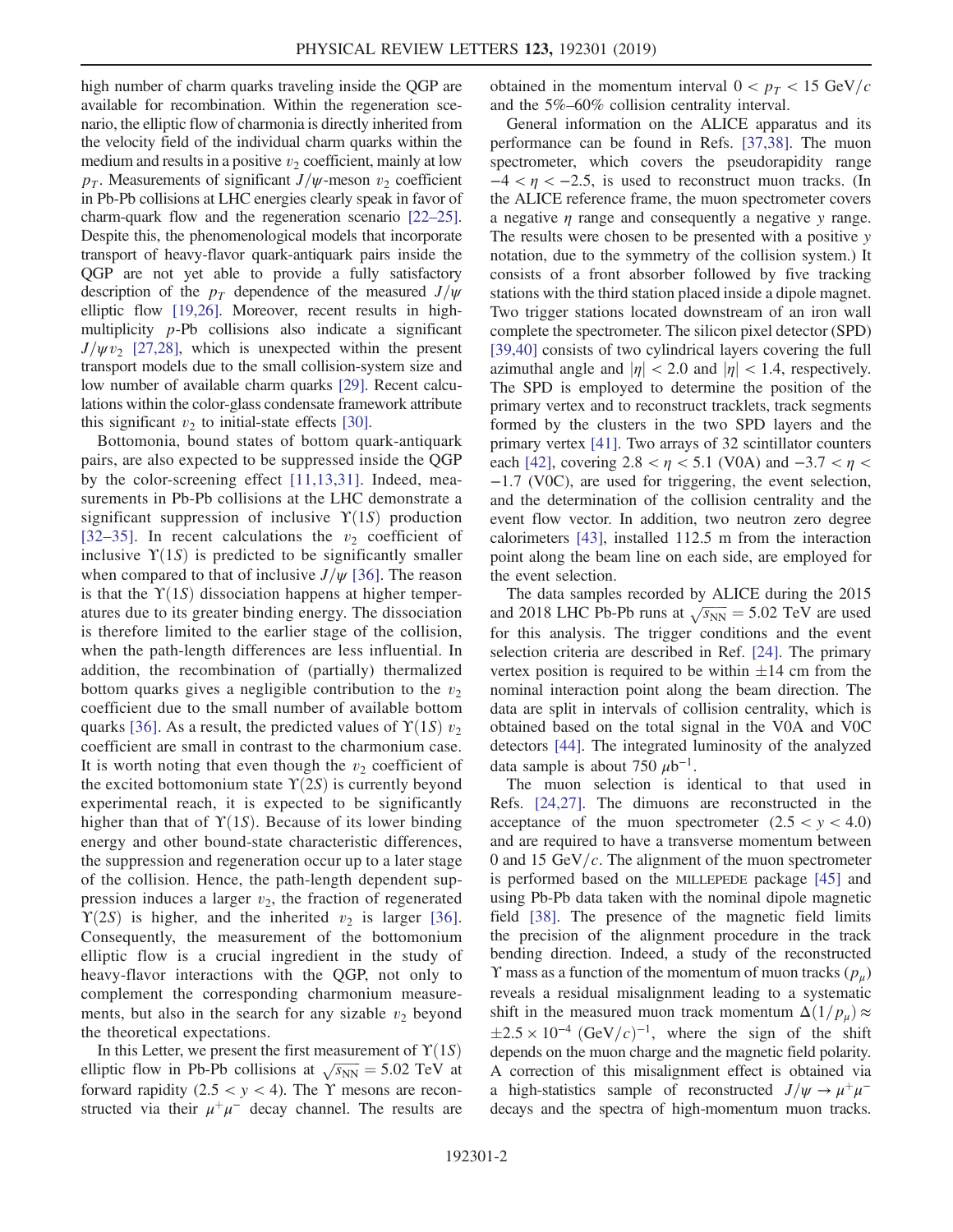high number of charm quarks traveling inside the QGP are available for recombination. Within the regeneration scenario, the elliptic flow of charmonia is directly inherited from the velocity field of the individual charm quarks within the medium and results in a positive  $v_2$  coefficient, mainly at low  $p_T$ . Measurements of significant  $J/\psi$ -meson  $v_2$  coefficient in Pb-Pb collisions at LHC energies clearly speak in favor of charm-quark flow and the regeneration scenario [\[22](#page-5-12)–25]. Despite this, the phenomenological models that incorporate transport of heavy-flavor quark-antiquark pairs inside the QGP are not yet able to provide a fully satisfactory description of the  $p_T$  dependence of the measured  $J/\psi$ elliptic flow [\[19,26\]](#page-5-13). Moreover, recent results in highmultiplicity  $p-Pb$  collisions also indicate a significant  $J/\psi v_2$  [\[27,28\],](#page-5-14) which is unexpected within the present transport models due to the small collision-system size and low number of available charm quarks [\[29\]](#page-5-15). Recent calculations within the color-glass condensate framework attribute this significant  $v_2$  to initial-state effects [\[30\].](#page-5-16)

Bottomonia, bound states of bottom quark-antiquark pairs, are also expected to be suppressed inside the QGP by the color-screening effect [\[11,13,31\]](#page-5-6). Indeed, measurements in Pb-Pb collisions at the LHC demonstrate a significant suppression of inclusive  $\Upsilon(1S)$  production [32–[35\]](#page-6-0). In recent calculations the  $v_2$  coefficient of inclusive  $\Upsilon(1S)$  is predicted to be significantly smaller when compared to that of inclusive  $J/\psi$  [\[36\]](#page-6-1). The reason is that the  $\Upsilon(1S)$  dissociation happens at higher temperatures due to its greater binding energy. The dissociation is therefore limited to the earlier stage of the collision, when the path-length differences are less influential. In addition, the recombination of (partially) thermalized bottom quarks gives a negligible contribution to the  $v_2$ coefficient due to the small number of available bottom quarks [\[36\]](#page-6-1). As a result, the predicted values of  $\Upsilon(1S)$   $v_2$ coefficient are small in contrast to the charmonium case. It is worth noting that even though the  $v_2$  coefficient of the excited bottomonium state  $\Upsilon(2S)$  is currently beyond experimental reach, it is expected to be significantly higher than that of  $\Upsilon(1S)$ . Because of its lower binding energy and other bound-state characteristic differences, the suppression and regeneration occur up to a later stage of the collision. Hence, the path-length dependent suppression induces a larger  $v_2$ , the fraction of regenerated  $\Upsilon(2S)$  is higher, and the inherited  $v_2$  is larger [\[36\]](#page-6-1). Consequently, the measurement of the bottomonium elliptic flow is a crucial ingredient in the study of heavy-flavor interactions with the QGP, not only to complement the corresponding charmonium measurements, but also in the search for any sizable  $v_2$  beyond the theoretical expectations.

In this Letter, we present the first measurement of  $\Upsilon(1S)$ elliptic flow in Pb-Pb collisions at  $\sqrt{s_{NN}} = 5.02$  TeV at forward rapidity (2.5 < y < 4). The  $\chi$  mesons are reconforward rapidity  $(2.5 < y < 4)$ . The Y mesons are reconstructed via their  $\mu^+\mu^-$  decay channel. The results are obtained in the momentum interval  $0 < p_T < 15 \text{ GeV}/c$ and the 5%–60% collision centrality interval.

General information on the ALICE apparatus and its performance can be found in Refs. [\[37,38\]](#page-6-2). The muon spectrometer, which covers the pseudorapidity range  $-4 < \eta < -2.5$ , is used to reconstruct muon tracks. (In the ALICE reference frame, the muon spectrometer covers a negative  $\eta$  range and consequently a negative y range. The results were chosen to be presented with a positive y notation, due to the symmetry of the collision system.) It consists of a front absorber followed by five tracking stations with the third station placed inside a dipole magnet. Two trigger stations located downstream of an iron wall complete the spectrometer. The silicon pixel detector (SPD) [\[39,40\]](#page-6-3) consists of two cylindrical layers covering the full azimuthal angle and  $|\eta| < 2.0$  and  $|\eta| < 1.4$ , respectively. The SPD is employed to determine the position of the primary vertex and to reconstruct tracklets, track segments formed by the clusters in the two SPD layers and the primary vertex [\[41\].](#page-6-4) Two arrays of 32 scintillator counters each [\[42\],](#page-6-5) covering  $2.8 < \eta < 5.1$  (V0A) and  $-3.7 < \eta <$ −1.7 (V0C), are used for triggering, the event selection, and the determination of the collision centrality and the event flow vector. In addition, two neutron zero degree calorimeters [\[43\],](#page-6-6) installed 112.5 m from the interaction point along the beam line on each side, are employed for the event selection.

The data samples recorded by ALICE during the 2015 and 2018 LHC Pb-Pb runs at  $\sqrt{s_{NN}} = 5.02$  TeV are used<br>for this analysis. The trigger conditions and the event for this analysis. The trigger conditions and the event selection criteria are described in Ref. [\[24\]](#page-5-17). The primary vertex position is required to be within  $\pm 14$  cm from the nominal interaction point along the beam direction. The nominal interaction point along the beam direction. The data are split in intervals of collision centrality, which is obtained based on the total signal in the V0A and V0C detectors [\[44\].](#page-6-7) The integrated luminosity of the analyzed data sample is about 750  $\mu$ b<sup>-1</sup>.

The muon selection is identical to that used in Refs. [\[24,27\]](#page-5-17). The dimuons are reconstructed in the acceptance of the muon spectrometer  $(2.5 < y < 4.0)$ and are required to have a transverse momentum between 0 and 15 GeV/ $c$ . The alignment of the muon spectrometer is performed based on the MILLEPEDE package [\[45\]](#page-6-8) and using Pb-Pb data taken with the nominal dipole magnetic field [\[38\].](#page-6-9) The presence of the magnetic field limits the precision of the alignment procedure in the track bending direction. Indeed, a study of the reconstructed  $\Upsilon$  mass as a function of the momentum of muon tracks  $(p_u)$ reveals a residual misalignment leading to a systematic shift in the measured muon track momentum  $\Delta(1/p_\mu) \approx$ -depends on the muon charge and the magnetic field polarity.  $\pm 2.5 \times 10^{-4}$  (GeV/c)<sup>-1</sup>, where the sign of the shift A correction of this misalignment effect is obtained via a high-statistics sample of reconstructed  $J/\psi \rightarrow \mu^+\mu^$ decays and the spectra of high-momentum muon tracks.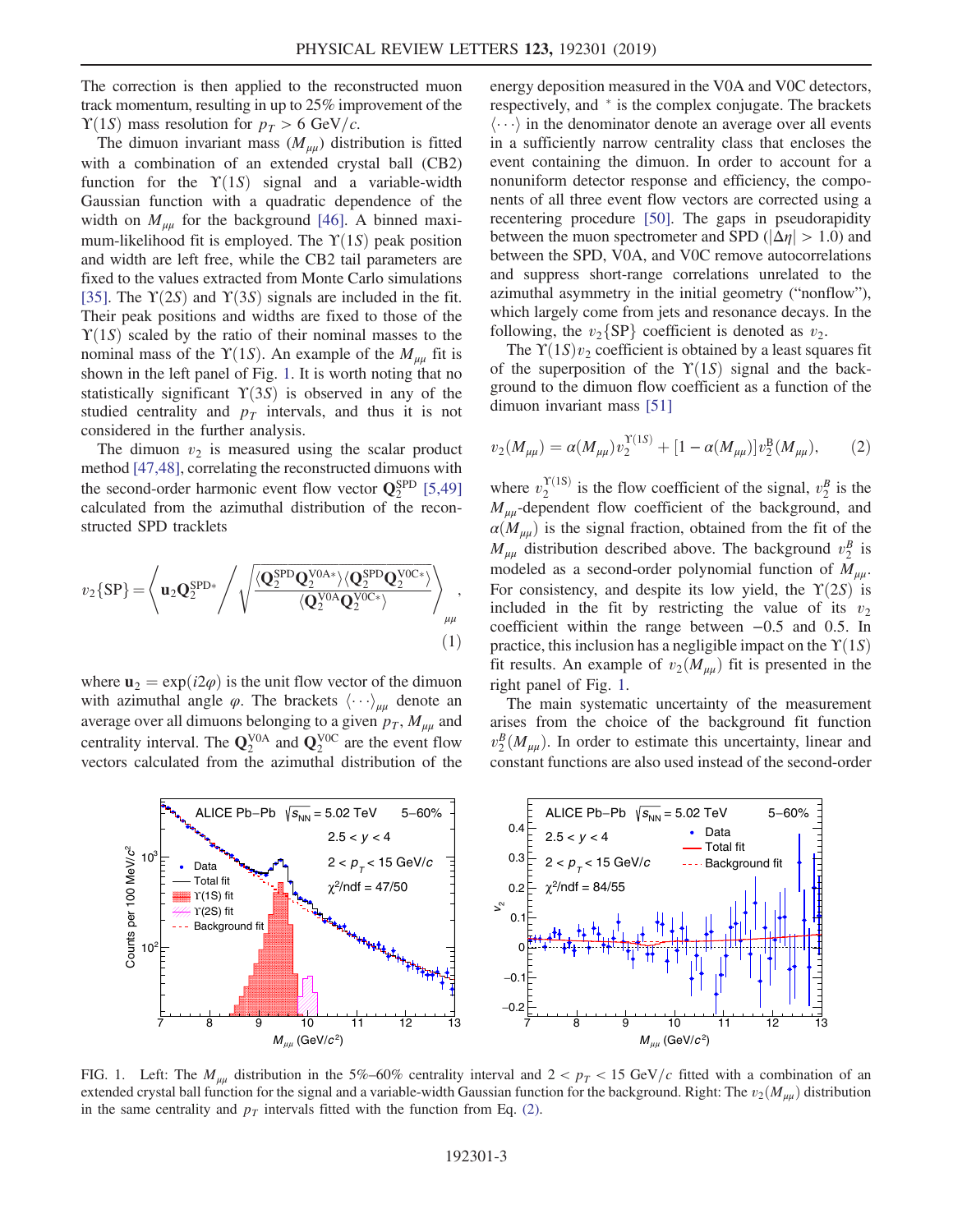The correction is then applied to the reconstructed muon track momentum, resulting in up to 25% improvement of the  $\Upsilon(1S)$  mass resolution for  $p_T > 6$  GeV/c.

The dimuon invariant mass  $(M_{\mu\mu})$  distribution is fitted with a combination of an extended crystal ball (CB2) function for the  $\Upsilon(1S)$  signal and a variable-width Gaussian function with a quadratic dependence of the width on  $M_{\mu\mu}$  for the background [\[46\]](#page-6-10). A binned maximum-likelihood fit is employed. The  $\Upsilon(1S)$  peak position and width are left free, while the CB2 tail parameters are fixed to the values extracted from Monte Carlo simulations [\[35\]](#page-6-11). The  $\Upsilon(2S)$  and  $\Upsilon(3S)$  signals are included in the fit. Their peak positions and widths are fixed to those of the  $\Upsilon(1S)$  scaled by the ratio of their nominal masses to the nominal mass of the  $\Upsilon(1S)$ . An example of the  $M_{\mu\mu}$  fit is shown in the left panel of Fig. [1.](#page-2-0) It is worth noting that no statistically significant  $\Upsilon(3S)$  is observed in any of the studied centrality and  $p_T$  intervals, and thus it is not considered in the further analysis.

The dimuon  $v_2$  is measured using the scalar product method [\[47,48\],](#page-6-12) correlating the reconstructed dimuons with the second-order harmonic event flow vector  $\mathbf{Q}_2^{\text{SPD}}$  [\[5,49\]](#page-5-2) calculated from the azimuthal distribution of the reconstructed SPD tracklets

<span id="page-2-2"></span>
$$
v_2\{\text{SP}\} = \left\langle \mathbf{u}_2 \mathbf{Q}_2^{\text{SPD}*} \middle/ \sqrt{\frac{\langle \mathbf{Q}_2^{\text{SPD}} \mathbf{Q}_2^{\text{VOA}*} \rangle \langle \mathbf{Q}_2^{\text{SPD}} \mathbf{Q}_2^{\text{VOC}*} \rangle}{\langle \mathbf{Q}_2^{\text{VOA}} \mathbf{Q}_2^{\text{VOC}*} \rangle}} \right\rangle_{\mu\mu}, \tag{1}
$$

where  $\mathbf{u}_2 = \exp(i2\varphi)$  is the unit flow vector of the dimuon with azimuthal angle  $\varphi$ . The brackets  $\langle \cdots \rangle_{\mu\mu}$  denote an average over all dimuons belonging to a given  $p_T$ ,  $M_{\mu\mu}$  and centrality interval. The  $\mathbf{Q}_2^{\text{VOA}}$  and  $\mathbf{Q}_2^{\text{VOC}}$  are the event flow vectors calculated from the azimuthal distribution of the energy deposition measured in the V0A and V0C detectors, respectively, and  $*$  is the complex conjugate. The brackets  $\langle \cdots \rangle$  in the denominator denote an average over all events in a sufficiently narrow centrality class that encloses the event containing the dimuon. In order to account for a nonuniform detector response and efficiency, the components of all three event flow vectors are corrected using a recentering procedure [\[50\].](#page-6-13) The gaps in pseudorapidity between the muon spectrometer and SPD ( $|\Delta \eta| > 1.0$ ) and between the SPD, V0A, and V0C remove autocorrelations and suppress short-range correlations unrelated to the azimuthal asymmetry in the initial geometry ("nonflow"), which largely come from jets and resonance decays. In the following, the  $v_2$ {SP} coefficient is denoted as  $v_2$ .

<span id="page-2-1"></span>The  $\Upsilon(1S)v_2$  coefficient is obtained by a least squares fit of the superposition of the  $\Upsilon(1S)$  signal and the background to the dimuon flow coefficient as a function of the dimuon invariant mass [\[51\]](#page-6-14)

$$
v_2(M_{\mu\mu}) = \alpha(M_{\mu\mu})v_2^{\Upsilon(1S)} + [1 - \alpha(M_{\mu\mu})]v_2^{\rm B}(M_{\mu\mu}), \qquad (2)
$$

where  $v_2^{\Upsilon(1S)}$  is the flow coefficient of the signal,  $v_2^B$  is the  $M_{\mu\mu}$ -dependent flow coefficient of the background, and  $\alpha(M_{\mu\nu})$  is the signal fraction, obtained from the fit of the  $M_{\mu\mu}$  distribution described above. The background  $v_2^B$  is modeled as a second-order polynomial function of  $M_{uu}$ . For consistency, and despite its low yield, the  $\Upsilon(2S)$  is included in the fit by restricting the value of its  $v_2$ coefficient within the range between −0.5 and 0.5. In practice, this inclusion has a negligible impact on the  $\Upsilon(1S)$ fit results. An example of  $v_2(M_{\mu\mu})$  fit is presented in the right panel of Fig. [1](#page-2-0).

The main systematic uncertainty of the measurement arises from the choice of the background fit function  $v_2^B(M_{\mu\mu})$ . In order to estimate this uncertainty, linear and<br>constant functions are also used instead of the second-order constant functions are also used instead of the second-order

<span id="page-2-0"></span>

FIG. 1. Left: The  $M_{\mu\mu}$  distribution in the 5%–60% centrality interval and  $2 < p_T < 15$  GeV/c fitted with a combination of an extended crystal ball function for the signal and a variable-width Gaussian function for the background. Right: The  $v_2(M_{\mu\mu})$  distribution in the same centrality and  $p_T$  intervals fitted with the function from Eq. [\(2\).](#page-2-1)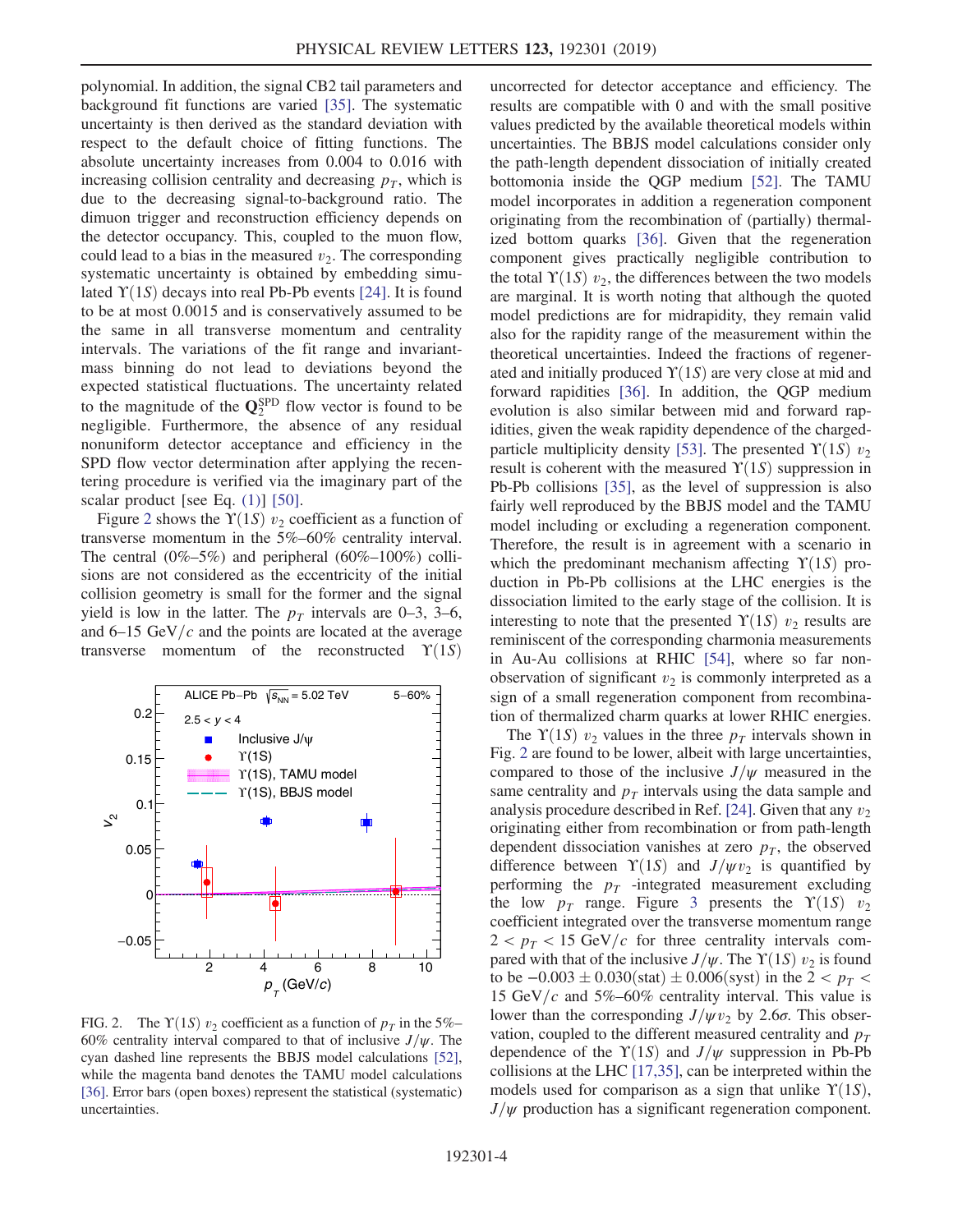polynomial. In addition, the signal CB2 tail parameters and background fit functions are varied [\[35\].](#page-6-11) The systematic uncertainty is then derived as the standard deviation with respect to the default choice of fitting functions. The absolute uncertainty increases from 0.004 to 0.016 with increasing collision centrality and decreasing  $p<sub>T</sub>$ , which is due to the decreasing signal-to-background ratio. The dimuon trigger and reconstruction efficiency depends on the detector occupancy. This, coupled to the muon flow, could lead to a bias in the measured  $v_2$ . The corresponding systematic uncertainty is obtained by embedding simulated  $\Upsilon(1S)$  decays into real Pb-Pb events [\[24\]](#page-5-17). It is found to be at most 0.0015 and is conservatively assumed to be the same in all transverse momentum and centrality intervals. The variations of the fit range and invariantmass binning do not lead to deviations beyond the expected statistical fluctuations. The uncertainty related to the magnitude of the  $\mathbf{Q}_2^{\text{SPD}}$  flow vector is found to be negligible. Furthermore, the absence of any residual nonuniform detector acceptance and efficiency in the SPD flow vector determination after applying the recentering procedure is verified via the imaginary part of the scalar product [see Eq.  $(1)$ ] [\[50\].](#page-6-13)

Figure [2](#page-3-0) shows the  $\Upsilon(1S)$   $v_2$  coefficient as a function of transverse momentum in the 5%–60% centrality interval. The central  $(0\% - 5\%)$  and peripheral  $(60\% - 100\%)$  collisions are not considered as the eccentricity of the initial collision geometry is small for the former and the signal yield is low in the latter. The  $p<sub>T</sub>$  intervals are 0–3, 3–6, and  $6-15$  GeV/c and the points are located at the average transverse momentum of the reconstructed  $\Upsilon(1S)$ 

<span id="page-3-0"></span>

FIG. 2. The  $\Upsilon(1S)$   $v_2$  coefficient as a function of  $p_T$  in the 5%– 60% centrality interval compared to that of inclusive  $J/\psi$ . The cyan dashed line represents the BBJS model calculations [\[52\],](#page-6-15) while the magenta band denotes the TAMU model calculations [\[36\].](#page-6-1) Error bars (open boxes) represent the statistical (systematic) uncertainties.

uncorrected for detector acceptance and efficiency. The results are compatible with 0 and with the small positive values predicted by the available theoretical models within uncertainties. The BBJS model calculations consider only the path-length dependent dissociation of initially created bottomonia inside the QGP medium [\[52\]](#page-6-15). The TAMU model incorporates in addition a regeneration component originating from the recombination of (partially) thermalized bottom quarks [\[36\]](#page-6-1). Given that the regeneration component gives practically negligible contribution to the total  $\Upsilon(1S)$   $v_2$ , the differences between the two models are marginal. It is worth noting that although the quoted model predictions are for midrapidity, they remain valid also for the rapidity range of the measurement within the theoretical uncertainties. Indeed the fractions of regenerated and initially produced  $\Upsilon(1S)$  are very close at mid and forward rapidities [\[36\]](#page-6-1). In addition, the QGP medium evolution is also similar between mid and forward rapidities, given the weak rapidity dependence of the charged-particle multiplicity density [\[53\].](#page-6-16) The presented  $\Upsilon(1S)$   $v_2$ result is coherent with the measured  $\Upsilon(1S)$  suppression in Pb-Pb collisions [\[35\],](#page-6-11) as the level of suppression is also fairly well reproduced by the BBJS model and the TAMU model including or excluding a regeneration component. Therefore, the result is in agreement with a scenario in which the predominant mechanism affecting  $\Upsilon(1S)$  production in Pb-Pb collisions at the LHC energies is the dissociation limited to the early stage of the collision. It is interesting to note that the presented  $\Upsilon(1S)$   $v_2$  results are reminiscent of the corresponding charmonia measurements in Au-Au collisions at RHIC [\[54\],](#page-6-17) where so far nonobservation of significant  $v_2$  is commonly interpreted as a sign of a small regeneration component from recombination of thermalized charm quarks at lower RHIC energies.

The  $\Upsilon(1S)$   $v_2$  values in the three  $p_T$  intervals shown in Fig. [2](#page-3-0) are found to be lower, albeit with large uncertainties, compared to those of the inclusive  $J/\psi$  measured in the same centrality and  $p<sub>T</sub>$  intervals using the data sample and analysis procedure described in Ref. [\[24\]](#page-5-17). Given that any  $v_2$ originating either from recombination or from path-length dependent dissociation vanishes at zero  $p<sub>T</sub>$ , the observed difference between  $\Upsilon(1S)$  and  $J/\psi v_2$  is quantified by performing the  $p_T$  -integrated measurement excluding the low  $p_T$  range. Figure [3](#page-4-0) presents the  $\Upsilon(1S)$   $v_2$ coefficient integrated over the transverse momentum range  $2 < p_T < 15$  GeV/c for three centrality intervals compared with that of the inclusive  $J/\psi$ . The  $\Upsilon(1S)$  v<sub>2</sub> is found to be  $-0.003 \pm 0.030$  (stat)  $\pm 0.006$  (syst) in the  $2 < p_T < 15$  GeV/c and  $5\%$ -60% centrality interval. This value is 15 GeV/c and 5%–60% centrality interval. This value is lower than the corresponding  $J/\psi v_2$  by 2.6 $\sigma$ . This observation, coupled to the different measured centrality and  $p_T$ dependence of the  $\Upsilon(1S)$  and  $J/\psi$  suppression in Pb-Pb collisions at the LHC [\[17,35\]](#page-5-18), can be interpreted within the models used for comparison as a sign that unlike  $\Upsilon(1S)$ ,  $J/\psi$  production has a significant regeneration component.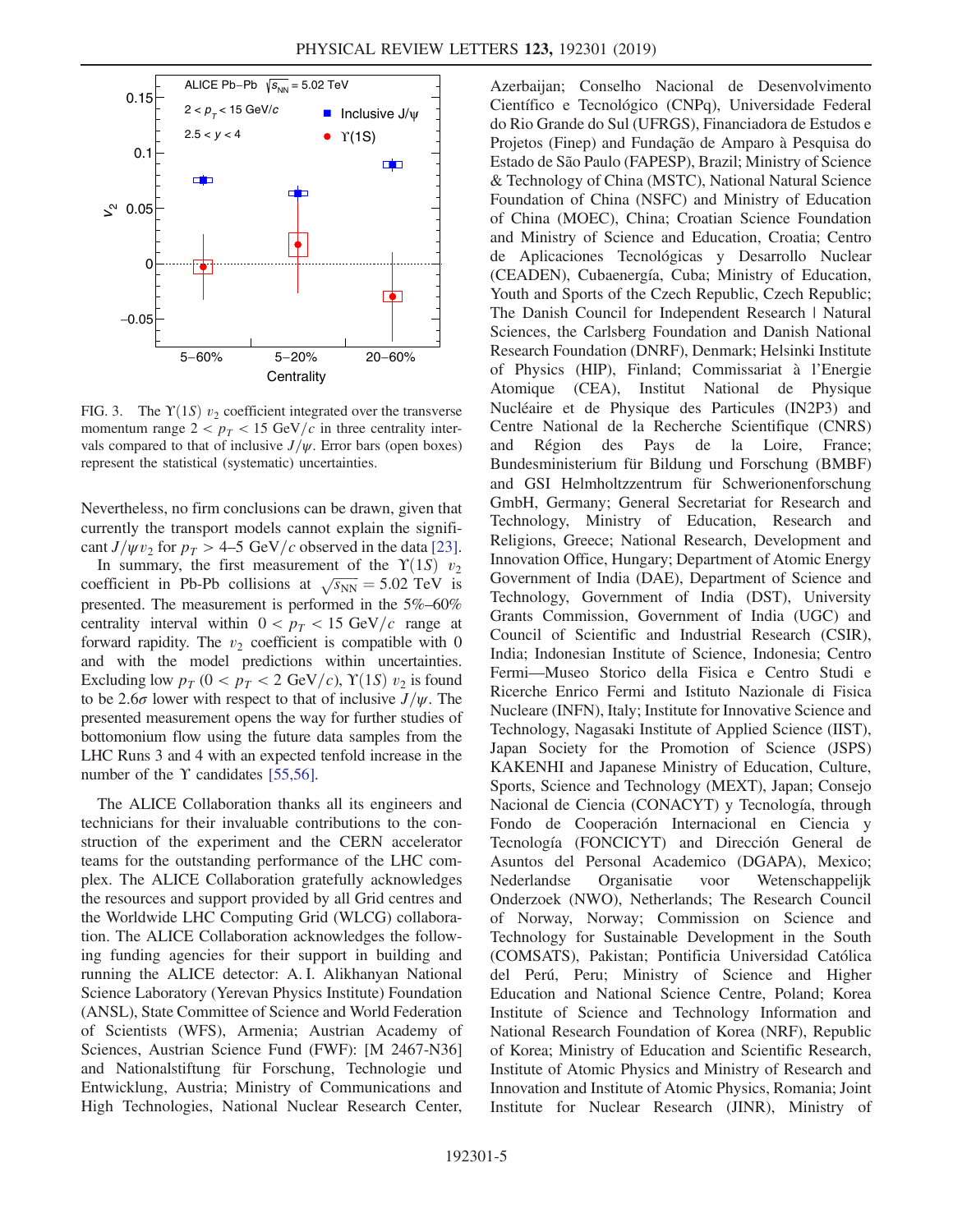<span id="page-4-0"></span>

FIG. 3. The  $\Upsilon(1S)$   $v_2$  coefficient integrated over the transverse momentum range  $2 < p_T < 15$  GeV/c in three centrality intervals compared to that of inclusive  $J/\psi$ . Error bars (open boxes) represent the statistical (systematic) uncertainties.

Nevertheless, no firm conclusions can be drawn, given that currently the transport models cannot explain the significant  $J/\psi v_2$  for  $p_T > 4-5$  GeV/c observed in the data [\[23\]](#page-5-19).

In summary, the first measurement of the  $\Upsilon(1S)$   $v_2$ coefficient in Pb-Pb collisions at  $\sqrt{s_{NN}} = 5.02 \text{ TeV}$  is<br>precented. The measurement is performed in the 5% 60% presented. The measurement is performed in the 5%–60% centrality interval within  $0 < p_T < 15 \text{ GeV}/c$  range at forward rapidity. The  $v_2$  coefficient is compatible with 0 and with the model predictions within uncertainties. Excluding low  $p_T$  ( $0 < p_T < 2$  GeV/c),  $\Upsilon(1S)$   $v_2$  is found to be 2.6 $\sigma$  lower with respect to that of inclusive  $J/\psi$ . The presented measurement opens the way for further studies of bottomonium flow using the future data samples from the LHC Runs 3 and 4 with an expected tenfold increase in the number of the  $\Upsilon$  candidates [\[55,56\]](#page-6-18).

The ALICE Collaboration thanks all its engineers and technicians for their invaluable contributions to the construction of the experiment and the CERN accelerator teams for the outstanding performance of the LHC complex. The ALICE Collaboration gratefully acknowledges the resources and support provided by all Grid centres and the Worldwide LHC Computing Grid (WLCG) collaboration. The ALICE Collaboration acknowledges the following funding agencies for their support in building and running the ALICE detector: A. I. Alikhanyan National Science Laboratory (Yerevan Physics Institute) Foundation (ANSL), State Committee of Science and World Federation of Scientists (WFS), Armenia; Austrian Academy of Sciences, Austrian Science Fund (FWF): [M 2467-N36] and Nationalstiftung für Forschung, Technologie und Entwicklung, Austria; Ministry of Communications and High Technologies, National Nuclear Research Center, Azerbaijan; Conselho Nacional de Desenvolvimento Científico e Tecnológico (CNPq), Universidade Federal do Rio Grande do Sul (UFRGS), Financiadora de Estudos e Projetos (Finep) and Fundação de Amparo à Pesquisa do Estado de São Paulo (FAPESP), Brazil; Ministry of Science & Technology of China (MSTC), National Natural Science Foundation of China (NSFC) and Ministry of Education of China (MOEC), China; Croatian Science Foundation and Ministry of Science and Education, Croatia; Centro de Aplicaciones Tecnológicas y Desarrollo Nuclear (CEADEN), Cubaenergía, Cuba; Ministry of Education, Youth and Sports of the Czech Republic, Czech Republic; The Danish Council for Independent Research | Natural Sciences, the Carlsberg Foundation and Danish National Research Foundation (DNRF), Denmark; Helsinki Institute of Physics (HIP), Finland; Commissariat `a l'Energie Atomique (CEA), Institut National de Physique Nucléaire et de Physique des Particules (IN2P3) and Centre National de la Recherche Scientifique (CNRS) and Région des Pays de la Loire, France; Bundesministerium für Bildung und Forschung (BMBF) and GSI Helmholtzzentrum für Schwerionenforschung GmbH, Germany; General Secretariat for Research and Technology, Ministry of Education, Research and Religions, Greece; National Research, Development and Innovation Office, Hungary; Department of Atomic Energy Government of India (DAE), Department of Science and Technology, Government of India (DST), University Grants Commission, Government of India (UGC) and Council of Scientific and Industrial Research (CSIR), India; Indonesian Institute of Science, Indonesia; Centro Fermi—Museo Storico della Fisica e Centro Studi e Ricerche Enrico Fermi and Istituto Nazionale di Fisica Nucleare (INFN), Italy; Institute for Innovative Science and Technology, Nagasaki Institute of Applied Science (IIST), Japan Society for the Promotion of Science (JSPS) KAKENHI and Japanese Ministry of Education, Culture, Sports, Science and Technology (MEXT), Japan; Consejo Nacional de Ciencia (CONACYT) y Tecnología, through Fondo de Cooperación Internacional en Ciencia y Tecnología (FONCICYT) and Dirección General de Asuntos del Personal Academico (DGAPA), Mexico; Nederlandse Organisatie voor Wetenschappelijk Onderzoek (NWO), Netherlands; The Research Council of Norway, Norway; Commission on Science and Technology for Sustainable Development in the South (COMSATS), Pakistan; Pontificia Universidad Católica del Perú, Peru; Ministry of Science and Higher Education and National Science Centre, Poland; Korea Institute of Science and Technology Information and National Research Foundation of Korea (NRF), Republic of Korea; Ministry of Education and Scientific Research, Institute of Atomic Physics and Ministry of Research and Innovation and Institute of Atomic Physics, Romania; Joint Institute for Nuclear Research (JINR), Ministry of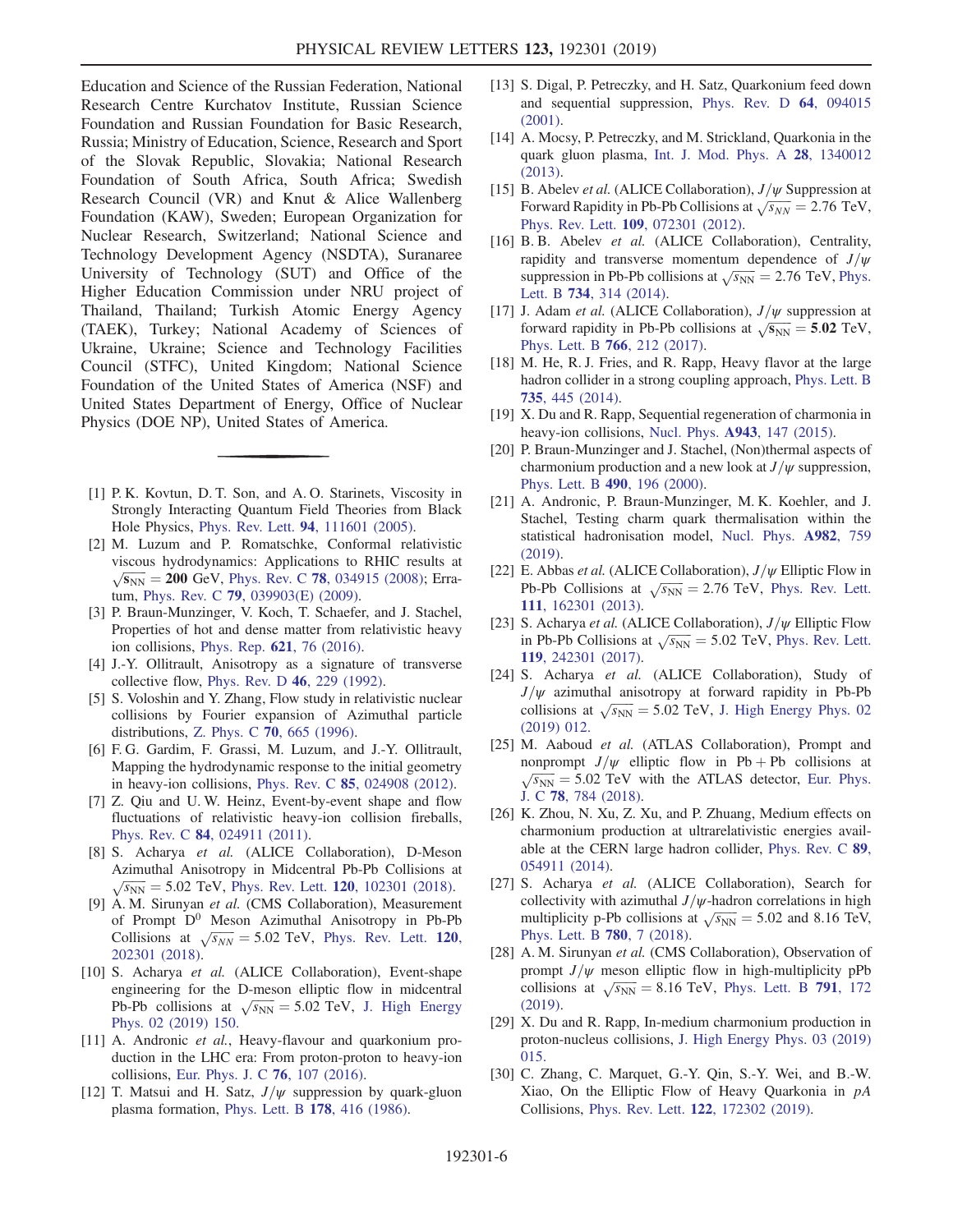Education and Science of the Russian Federation, National Research Centre Kurchatov Institute, Russian Science Foundation and Russian Foundation for Basic Research, Russia; Ministry of Education, Science, Research and Sport of the Slovak Republic, Slovakia; National Research Foundation of South Africa, South Africa; Swedish Research Council (VR) and Knut & Alice Wallenberg Foundation (KAW), Sweden; European Organization for Nuclear Research, Switzerland; National Science and Technology Development Agency (NSDTA), Suranaree University of Technology (SUT) and Office of the Higher Education Commission under NRU project of Thailand, Thailand; Turkish Atomic Energy Agency (TAEK), Turkey; National Academy of Sciences of Ukraine, Ukraine; Science and Technology Facilities Council (STFC), United Kingdom; National Science Foundation of the United States of America (NSF) and United States Department of Energy, Office of Nuclear Physics (DOE NP), United States of America.

- <span id="page-5-0"></span>[1] P. K. Kovtun, D. T. Son, and A. O. Starinets, Viscosity in Strongly Interacting Quantum Field Theories from Black Hole Physics, Phys. Rev. Lett. 94[, 111601 \(2005\)](https://doi.org/10.1103/PhysRevLett.94.111601).
- [2] M. Luzum and P. Romatschke, Conformal relativistic viscous hydrodynamics: Applications to RHIC results at  $\sqrt{s_{NN}}$  = 200 GeV, Phys. Rev. C 78[, 034915 \(2008\)](https://doi.org/10.1103/PhysRevC.78.034915); Erra-<br>tum Phys. Rev. C 79, 039903(F) (2009) tum, Phys. Rev. C 79[, 039903\(E\) \(2009\)](https://doi.org/10.1103/PhysRevC.79.039903).
- [3] P. Braun-Munzinger, V. Koch, T. Schaefer, and J. Stachel, Properties of hot and dense matter from relativistic heavy ion collisions, Phys. Rep. 621[, 76 \(2016\).](https://doi.org/10.1016/j.physrep.2015.12.003)
- <span id="page-5-1"></span>[4] J.-Y. Ollitrault, Anisotropy as a signature of transverse collective flow, [Phys. Rev. D](https://doi.org/10.1103/PhysRevD.46.229) 46, 229 (1992).
- <span id="page-5-2"></span>[5] S. Voloshin and Y. Zhang, Flow study in relativistic nuclear collisions by Fourier expansion of Azimuthal particle distributions, Z. Phys. C 70[, 665 \(1996\).](https://doi.org/10.1007/s002880050141)
- <span id="page-5-3"></span>[6] F. G. Gardim, F. Grassi, M. Luzum, and J.-Y. Ollitrault, Mapping the hydrodynamic response to the initial geometry in heavy-ion collisions, Phys. Rev. C 85[, 024908 \(2012\)](https://doi.org/10.1103/PhysRevC.85.024908).
- <span id="page-5-4"></span>[7] Z. Qiu and U. W. Heinz, Event-by-event shape and flow fluctuations of relativistic heavy-ion collision fireballs, Phys. Rev. C 84[, 024911 \(2011\).](https://doi.org/10.1103/PhysRevC.84.024911)
- <span id="page-5-5"></span>[8] S. Acharya et al. (ALICE Collaboration), D-Meson Azimuthal Anisotropy in Midcentral Pb-Pb Collisions at  $\sqrt{s_{NN}}$  = 5.02 TeV, Phys. Rev. Lett. 120[, 102301 \(2018\).](https://doi.org/10.1103/PhysRevLett.120.102301)
- [9] A. M. Sirunyan et al. (CMS Collaboration), Measurement of Prompt  $D^0$  Meson Azimuthal Anisotropy in Pb-Pb Collisions at  $\sqrt{s_{NN}}$  = 5.02 TeV, [Phys. Rev. Lett.](https://doi.org/10.1103/PhysRevLett.120.202301) 120, [202301 \(2018\).](https://doi.org/10.1103/PhysRevLett.120.202301)
- [10] S. Acharya et al. (ALICE Collaboration), Event-shape engineering for the D-meson elliptic flow in midcentral Pb-Pb collisions at  $\sqrt{s_{NN}} = 5.02 \text{ TeV}$ , [J. High Energy](https://doi.org/10.1007/JHEP02(2019)150) [Phys. 02 \(2019\) 150.](https://doi.org/10.1007/JHEP02(2019)150)
- <span id="page-5-6"></span>[11] A. Andronic et al., Heavy-flavour and quarkonium production in the LHC era: From proton-proton to heavy-ion collisions, [Eur. Phys. J. C](https://doi.org/10.1140/epjc/s10052-015-3819-5) 76, 107 (2016).
- <span id="page-5-7"></span>[12] T. Matsui and H. Satz,  $J/\psi$  suppression by quark-gluon plasma formation, [Phys. Lett. B](https://doi.org/10.1016/0370-2693(86)91404-8) 178, 416 (1986).
- <span id="page-5-8"></span>[13] S. Digal, P. Petreczky, and H. Satz, Quarkonium feed down and sequential suppression, [Phys. Rev. D](https://doi.org/10.1103/PhysRevD.64.094015) 64, 094015 [\(2001\).](https://doi.org/10.1103/PhysRevD.64.094015)
- [14] A. Mocsy, P. Petreczky, and M. Strickland, Quarkonia in the quark gluon plasma, [Int. J. Mod. Phys. A](https://doi.org/10.1142/S0217751X13400125) 28, 1340012 [\(2013\).](https://doi.org/10.1142/S0217751X13400125)
- <span id="page-5-9"></span>[15] B. Abelev et al. (ALICE Collaboration),  $J/\psi$  Suppression at Forward Rapidity in Pb-Pb Collisions at  $\sqrt{s_{NN}} = 2.76$  TeV,<br>Phys. Rev. Lett. 109, 072301, (2012) Phys. Rev. Lett. 109[, 072301 \(2012\).](https://doi.org/10.1103/PhysRevLett.109.072301)
- [16] B. B. Abelev et al. (ALICE Collaboration), Centrality, rapidity and transverse momentum dependence of  $J/\psi$ suppression in Pb-Pb collisions at  $\sqrt{s_{NN}} = 2.76$  TeV, [Phys.](https://doi.org/10.1016/j.physletb.2014.05.064)<br>Lett. B. 734, 314 (2014) Lett. B 734[, 314 \(2014\).](https://doi.org/10.1016/j.physletb.2014.05.064)
- <span id="page-5-18"></span>[17] J. Adam et al. (ALICE Collaboration),  $J/\psi$  suppression at forward rapidity in Pb-Pb collisions at  $\sqrt{s_{NN}}$  = 5.02 TeV,<br>Phys. Lett. B. 766, 212 (2017) [Phys. Lett. B](https://doi.org/10.1016/j.physletb.2016.12.064) 766, 212 (2017).
- <span id="page-5-10"></span>[18] M. He, R. J. Fries, and R. Rapp, Heavy flavor at the large hadron collider in a strong coupling approach, [Phys. Lett. B](https://doi.org/10.1016/j.physletb.2014.05.050) 735[, 445 \(2014\)](https://doi.org/10.1016/j.physletb.2014.05.050).
- <span id="page-5-13"></span>[19] X. Du and R. Rapp, Sequential regeneration of charmonia in heavy-ion collisions, Nucl. Phys. **A943**[, 147 \(2015\)](https://doi.org/10.1016/j.nuclphysa.2015.09.006).
- <span id="page-5-11"></span>[20] P. Braun-Munzinger and J. Stachel, (Non)thermal aspects of charmonium production and a new look at  $J/\psi$  suppression, [Phys. Lett. B](https://doi.org/10.1016/S0370-2693(00)00991-6) 490, 196 (2000).
- [21] A. Andronic, P. Braun-Munzinger, M. K. Koehler, and J. Stachel, Testing charm quark thermalisation within the statistical hadronisation model, [Nucl. Phys.](https://doi.org/10.1016/j.nuclphysa.2018.09.004) A982, 759 [\(2019\).](https://doi.org/10.1016/j.nuclphysa.2018.09.004)
- <span id="page-5-12"></span>[22] E. Abbas et al. (ALICE Collaboration),  $J/\psi$  Elliptic Flow in Pb-Pb Collisions at  $\sqrt{s_{NN}} = 2.76$  TeV, [Phys. Rev. Lett.](https://doi.org/10.1103/PhysRevLett.111.162301)<br>111 162301 (2013) 111[, 162301 \(2013\).](https://doi.org/10.1103/PhysRevLett.111.162301)
- <span id="page-5-19"></span>[23] S. Acharya et al. (ALICE Collaboration),  $J/\psi$  Elliptic Flow in Pb-Pb Collisions at  $\sqrt{s_{NN}} = 5.02$  TeV, [Phys. Rev. Lett.](https://doi.org/10.1103/PhysRevLett.119.242301)<br>119 242301 (2017) 119[, 242301 \(2017\).](https://doi.org/10.1103/PhysRevLett.119.242301)
- <span id="page-5-17"></span>[24] S. Acharya et al. (ALICE Collaboration), Study of  $J/\psi$  azimuthal anisotropy at forward rapidity in Pb-Pb collisions at  $\sqrt{s_{NN}}$  = 5.02 TeV, [J. High Energy Phys. 02](https://doi.org/10.1007/JHEP02(2019)012)<br>(2019) 012 [\(2019\) 012.](https://doi.org/10.1007/JHEP02(2019)012)
- [25] M. Aaboud et al. (ATLAS Collaboration), Prompt and nonprompt  $J/\psi$  elliptic flow in Pb + Pb collisions at  $\sqrt{s_{NN}}$  = 5.02 TeV with the ATLAS detector, [Eur. Phys.](https://doi.org/10.1140/epjc/s10052-018-6243-9)<br>I C 78 784 (2018) J. C 78[, 784 \(2018\).](https://doi.org/10.1140/epjc/s10052-018-6243-9)
- [26] K. Zhou, N. Xu, Z. Xu, and P. Zhuang, Medium effects on charmonium production at ultrarelativistic energies available at the CERN large hadron collider, [Phys. Rev. C](https://doi.org/10.1103/PhysRevC.89.054911) 89, [054911 \(2014\).](https://doi.org/10.1103/PhysRevC.89.054911)
- <span id="page-5-14"></span>[27] S. Acharya et al. (ALICE Collaboration), Search for collectivity with azimuthal  $J/\psi$ -hadron correlations in high multiplicity p-Pb collisions at  $\sqrt{s_{NN}} = 5.02$  and 8.16 TeV,<br>Phys. Lett. B. 780, 7 (2018) [Phys. Lett. B](https://doi.org/10.1016/j.physletb.2018.02.039) 780, 7 (2018).
- [28] A. M. Sirunyan et al. (CMS Collaboration), Observation of prompt  $J/\psi$  meson elliptic flow in high-multiplicity pPb collisions at  $\sqrt{s_{NN}} = 8.16$  TeV, [Phys. Lett. B](https://doi.org/10.1016/j.physletb.2019.02.018) **791**, 172 (2019) [\(2019\).](https://doi.org/10.1016/j.physletb.2019.02.018)
- <span id="page-5-15"></span>[29] X. Du and R. Rapp, In-medium charmonium production in proton-nucleus collisions, [J. High Energy Phys. 03 \(2019\)](https://doi.org/10.1007/JHEP03(2019)015) [015.](https://doi.org/10.1007/JHEP03(2019)015)
- <span id="page-5-16"></span>[30] C. Zhang, C. Marquet, G.-Y. Qin, S.-Y. Wei, and B.-W. Xiao, On the Elliptic Flow of Heavy Quarkonia in pA Collisions, Phys. Rev. Lett. 122[, 172302 \(2019\).](https://doi.org/10.1103/PhysRevLett.122.172302)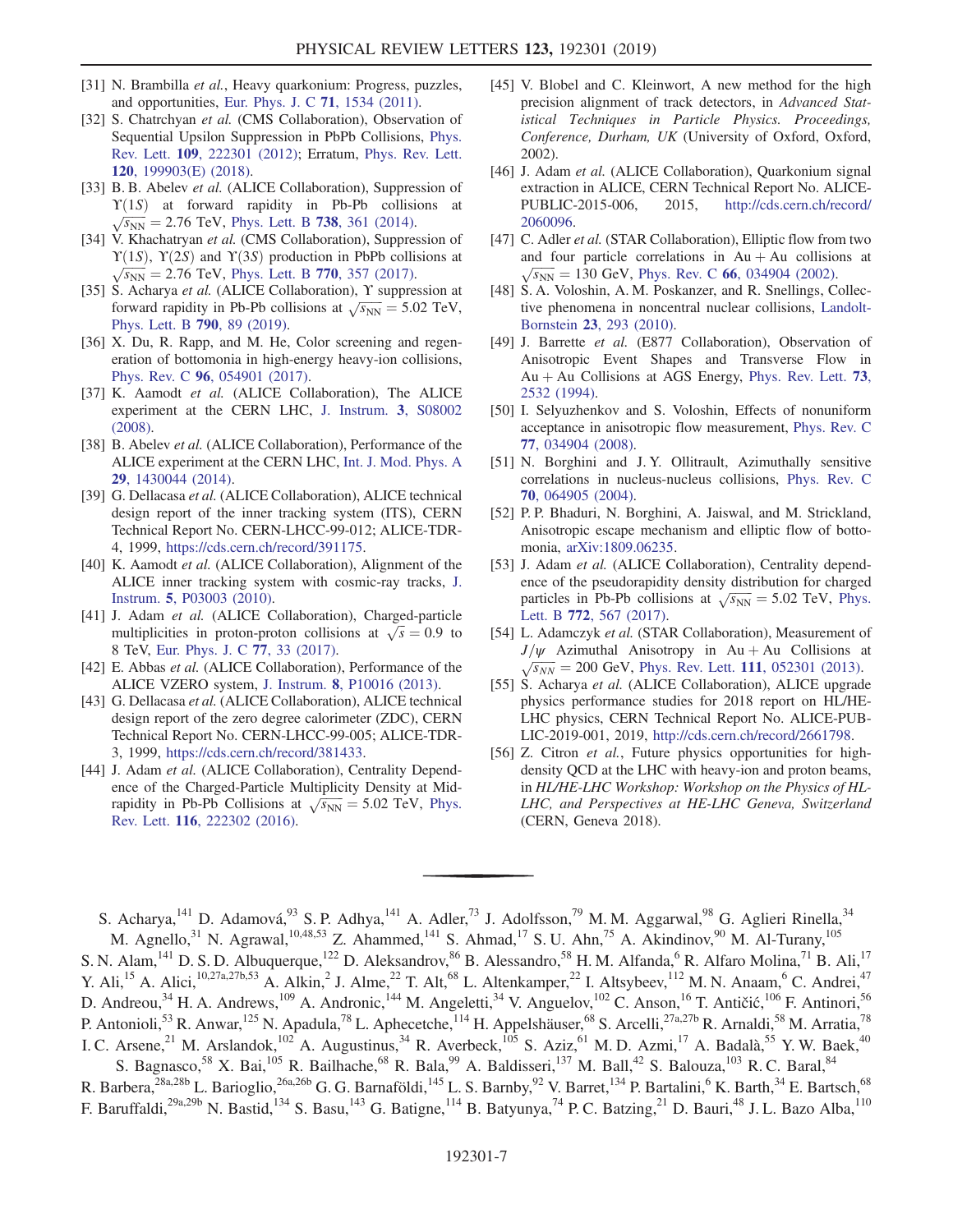- [31] N. Brambilla et al., Heavy quarkonium: Progress, puzzles, and opportunities, [Eur. Phys. J. C](https://doi.org/10.1140/epjc/s10052-010-1534-9) 71, 1534 (2011).
- <span id="page-6-0"></span>[32] S. Chatrchyan et al. (CMS Collaboration), Observation of Sequential Upsilon Suppression in PbPb Collisions, [Phys.](https://doi.org/10.1103/PhysRevLett.109.222301) Rev. Lett. 109[, 222301 \(2012\)](https://doi.org/10.1103/PhysRevLett.109.222301); Erratum, [Phys. Rev. Lett.](https://doi.org/10.1103/PhysRevLett.120.199903) 120[, 199903\(E\) \(2018\).](https://doi.org/10.1103/PhysRevLett.120.199903)
- [33] B. B. Abelev et al. (ALICE Collaboration), Suppression of  $\gamma(1S)$  at forward rapidity in Pb-Pb collisions at  $\sqrt{s_{NN}} = 2.76$  TeV, [Phys. Lett. B](https://doi.org/10.1016/j.physletb.2014.10.001) 738, 361 (2014).<br>V Khachatryan et al. (CMS Collaboration) Suppression of
- [34] V. Khachatryan et al. (CMS Collaboration), Suppression of  $\Upsilon(1S)$ ,  $\Upsilon(2S)$  and  $\Upsilon(3S)$  production in PbPb collisions at  $\sqrt{s_{NN}}$  = 2.76 TeV, [Phys. Lett. B](https://doi.org/10.1016/j.physletb.2017.04.031) 770, 357 (2017).
- <span id="page-6-11"></span>[35] S. Acharya et al. (ALICE Collaboration), Y suppression at forward rapidity in Pb-Pb collisions at  $\sqrt{s_{NN}} = 5.02$  TeV,<br>Phys. Lett. B. 790, 89.(2019) [Phys. Lett. B](https://doi.org/10.1016/j.physletb.2018.11.067) 790, 89 (2019).
- <span id="page-6-1"></span>[36] X. Du, R. Rapp, and M. He, Color screening and regeneration of bottomonia in high-energy heavy-ion collisions, Phys. Rev. C 96[, 054901 \(2017\).](https://doi.org/10.1103/PhysRevC.96.054901)
- <span id="page-6-2"></span>[37] K. Aamodt et al. (ALICE Collaboration), The ALICE experiment at the CERN LHC, [J. Instrum.](https://doi.org/10.1088/1748-0221/3/08/S08002) 3, S08002 [\(2008\).](https://doi.org/10.1088/1748-0221/3/08/S08002)
- <span id="page-6-9"></span>[38] B. Abelev et al. (ALICE Collaboration), Performance of the ALICE experiment at the CERN LHC, [Int. J. Mod. Phys. A](https://doi.org/10.1142/S0217751X14300440) 29[, 1430044 \(2014\).](https://doi.org/10.1142/S0217751X14300440)
- <span id="page-6-3"></span>[39] G. Dellacasa et al. (ALICE Collaboration), ALICE technical design report of the inner tracking system (ITS), CERN Technical Report No. CERN-LHCC-99-012; ALICE-TDR-4, 1999, <https://cds.cern.ch/record/391175>.
- [40] K. Aamodt et al. (ALICE Collaboration), Alignment of the ALICE inner tracking system with cosmic-ray tracks, [J.](https://doi.org/10.1088/1748-0221/5/03/P03003) Instrum. 5[, P03003 \(2010\).](https://doi.org/10.1088/1748-0221/5/03/P03003)
- <span id="page-6-4"></span>[41] J. Adam et al. (ALICE Collaboration), Charged-particle multiplicities in proton-proton collisions at  $\sqrt{s} = 0.9$  to  $\frac{8 \text{ TeV}}{\text{Fur}}$  Phys I C 77 33 (2017) 8 TeV, [Eur. Phys. J. C](https://doi.org/10.1140/epjc/s10052-016-4571-1) 77, 33 (2017).
- <span id="page-6-5"></span>[42] E. Abbas et al. (ALICE Collaboration), Performance of the ALICE VZERO system, J. Instrum. 8[, P10016 \(2013\)](https://doi.org/10.1088/1748-0221/8/10/P10016).
- <span id="page-6-6"></span>[43] G. Dellacasa et al. (ALICE Collaboration), ALICE technical design report of the zero degree calorimeter (ZDC), CERN Technical Report No. CERN-LHCC-99-005; ALICE-TDR-3, 1999, <https://cds.cern.ch/record/381433>.
- <span id="page-6-7"></span>[44] J. Adam et al. (ALICE Collaboration), Centrality Dependence of the Charged-Particle Multiplicity Density at Midrapidity in Pb-Pb Collisions at  $\sqrt{s_{NN}}$  = 5.02 TeV, [Phys.](https://doi.org/10.1103/PhysRevLett.116.222302)<br>Rev. Lett. 116, 222302 (2016) Rev. Lett. 116[, 222302 \(2016\).](https://doi.org/10.1103/PhysRevLett.116.222302)
- <span id="page-6-8"></span>[45] V. Blobel and C. Kleinwort, A new method for the high precision alignment of track detectors, in Advanced Statistical Techniques in Particle Physics. Proceedings, Conference, Durham, UK (University of Oxford, Oxford, 2002).
- <span id="page-6-10"></span>[46] J. Adam et al. (ALICE Collaboration), Quarkonium signal extraction in ALICE, CERN Technical Report No. ALICE-PUBLIC-2015-006, 2015, [http://cds.cern.ch/record/](http://cds.cern.ch/record/2060096) [2060096.](http://cds.cern.ch/record/2060096)
- <span id="page-6-12"></span>[47] C. Adler et al. (STAR Collaboration), Elliptic flow from two and four particle correlations in  $Au + Au$  collisions at  $\sqrt{s_{NN}}$  = 130 GeV, Phys. Rev. C 66[, 034904 \(2002\).](https://doi.org/10.1103/PhysRevC.66.034904)
- [48] S. A. Voloshin, A. M. Poskanzer, and R. Snellings, Collective phenomena in noncentral nuclear collisions, [Landolt-](https://doi.org/10.1007/978-3-642-01539-7_10)Bornstein 23[, 293 \(2010\).](https://doi.org/10.1007/978-3-642-01539-7_10)
- [49] J. Barrette et al. (E877 Collaboration), Observation of Anisotropic Event Shapes and Transverse Flow in Au + Au Collisions at AGS Energy, [Phys. Rev. Lett.](https://doi.org/10.1103/PhysRevLett.73.2532)  $73$ , [2532 \(1994\)](https://doi.org/10.1103/PhysRevLett.73.2532).
- <span id="page-6-13"></span>[50] I. Selyuzhenkov and S. Voloshin, Effects of nonuniform acceptance in anisotropic flow measurement, [Phys. Rev. C](https://doi.org/10.1103/PhysRevC.77.034904) 77[, 034904 \(2008\).](https://doi.org/10.1103/PhysRevC.77.034904)
- <span id="page-6-14"></span>[51] N. Borghini and J. Y. Ollitrault, Azimuthally sensitive correlations in nucleus-nucleus collisions, [Phys. Rev. C](https://doi.org/10.1103/PhysRevC.70.064905) 70[, 064905 \(2004\).](https://doi.org/10.1103/PhysRevC.70.064905)
- <span id="page-6-15"></span>[52] P. P. Bhaduri, N. Borghini, A. Jaiswal, and M. Strickland, Anisotropic escape mechanism and elliptic flow of bottomonia, [arXiv:1809.06235.](https://arXiv.org/abs/1809.06235)
- <span id="page-6-16"></span>[53] J. Adam et al. (ALICE Collaboration), Centrality dependence of the pseudorapidity density distribution for charged particles in Pb-Pb collisions at  $\sqrt{s_{NN}}$  = 5.02 TeV, [Phys.](https://doi.org/10.1016/j.physletb.2017.07.017)<br>Lett B 772, 567 (2017) Lett. B 772[, 567 \(2017\).](https://doi.org/10.1016/j.physletb.2017.07.017)
- <span id="page-6-17"></span>[54] L. Adamczyk et al. (STAR Collaboration), Measurement of  $J/\psi$  Azimuthal Anisotropy in Au + Au Collisions at  $\sqrt{s_{NN}} = 200$  GeV, Phys. Rev. Lett. 111[, 052301 \(2013\).](https://doi.org/10.1103/PhysRevLett.111.052301)<br>S. Acharva et al. (ALICE Collaboration) ALICE uporade
- <span id="page-6-18"></span>[55] S. Acharya et al. (ALICE Collaboration), ALICE upgrade physics performance studies for 2018 report on HL/HE-LHC physics, CERN Technical Report No. ALICE-PUB-LIC-2019-001, 2019, [http://cds.cern.ch/record/2661798.](http://cds.cern.ch/record/2661798)
- [56] Z. Citron et al., Future physics opportunities for highdensity QCD at the LHC with heavy-ion and proton beams, in HL/HE-LHC Workshop: Workshop on the Physics of HL-LHC, and Perspectives at HE-LHC Geneva, Switzerland (CERN, Geneva 2018).

S. Acharya,<sup>141</sup> D. Adamová,<sup>93</sup> S. P. Adhya,<sup>141</sup> A. Adler,<sup>73</sup> J. Adolfsson,<sup>79</sup> M. M. Aggarwal,<sup>98</sup> G. Aglieri Rinella,<sup>34</sup> M. Agnello,<sup>31</sup> N. Agrawal,<sup>10,48,53</sup> Z. Ahammed,<sup>141</sup> S. Ahmad,<sup>17</sup> S. U. Ahn,<sup>75</sup> A. Akindinov,<sup>90</sup> M. Al-Turany,<sup>105</sup>

S. N. Alam,<sup>141</sup> D. S. D. Albuquerque,<sup>122</sup> D. Aleksandrov,<sup>86</sup> B. Alessandro,<sup>58</sup> H. M. Alfanda,<sup>6</sup> R. Alfaro Molina,<sup>71</sup> B. Ali,<sup>17</sup>

Y. Ali,<sup>15</sup> A. Alici,<sup>10,27a,27b,53</sup> A. Alkin,<sup>2</sup> J. Alme,<sup>22</sup> T. Alt,<sup>68</sup> L. Altenkamper,<sup>22</sup> I. Altsybeev,<sup>112</sup> M. N. Anaam,<sup>6</sup> C. Andrei,<sup>47</sup>

D. Andreou,<sup>34</sup> H. A. Andrews,<sup>109</sup> A. Andronic,<sup>144</sup> M. Angeletti,<sup>34</sup> V. Anguelov,<sup>102</sup> C. Anson,<sup>16</sup> T. Antičić,<sup>106</sup> F. Antinori,<sup>56</sup>

P. Antonioli,<sup>53</sup> R. Anwar,<sup>125</sup> N. Apadula,<sup>78</sup> L. Aphecetche,<sup>114</sup> H. Appelshäuser,<sup>68</sup> S. Arcelli,<sup>27a,27b</sup> R. Arnaldi,<sup>58</sup> M. Arratia,<sup>78</sup>

I. C. Arsene,<sup>21</sup> M. Arslandok,<sup>102</sup> A. Augustinus,<sup>34</sup> R. Averbeck,<sup>105</sup> S. Aziz,<sup>61</sup> M. D. Azmi,<sup>17</sup> A. Badalà,<sup>55</sup> Y. W. Baek,<sup>40</sup>

S. Bagnasco,<sup>58</sup> X. Bai,<sup>105</sup> R. Bailhache,<sup>68</sup> R. Bala,<sup>99</sup> A. Baldisseri,<sup>137</sup> M. Ball,<sup>42</sup> S. Balouza,<sup>103</sup> R. C. Baral,<sup>84</sup> R. Barbera,  $^{28a,28b}$  L. Barioglio,  $^{26a,26b}$  G. G. Barnaföldi,  $^{145}$  L. S. Barnby,  $^{92}$  V. Barret,  $^{134}$  P. Bartalini,  $^6$  K. Barth,  $^{34}$  E. Bartsch,  $^{68}$ 

F. Baruffaldi,<sup>29a,29b</sup> N. Bastid,<sup>134</sup> S. Basu,<sup>143</sup> G. Batigne,<sup>114</sup> B. Batyunya,<sup>74</sup> P. C. Batzing,<sup>21</sup> D. Bauri,<sup>48</sup> J. L. Bazo Alba,<sup>110</sup>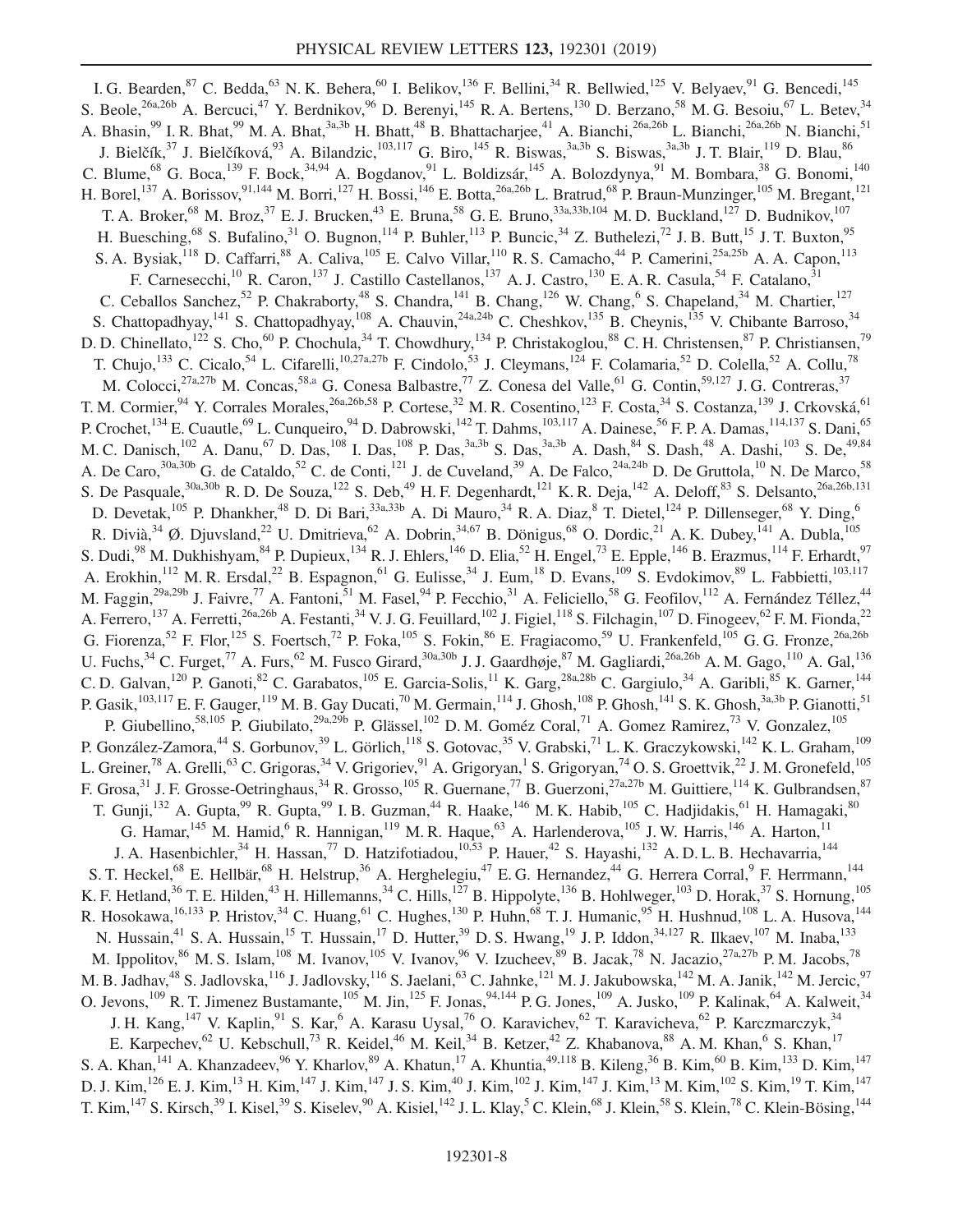<span id="page-7-0"></span>I. G. Bearden,  $87$  C. Bedda,  $63$  N. K. Behera,  $60$  I. Belikov,  $136$  F. Bellini,  $34$  R. Bellwied,  $125$  V. Belyaev,  $91$  G. Bencedi,  $145$ S. Beole,<sup>26a,26b</sup> A. Bercuci,<sup>47</sup> Y. Berdnikov,<sup>96</sup> D. Berenyi,<sup>145</sup> R. A. Bertens,<sup>130</sup> D. Berzano,<sup>58</sup> M. G. Besoiu,<sup>67</sup> L. Betev,<sup>34</sup> A. Bhasin, <sup>99</sup> I. R. Bhat, <sup>99</sup> M. A. Bhat, <sup>3a, 3b</sup> H. Bhatt, <sup>48</sup> B. Bhattacharjee, <sup>41</sup> A. Bianchi, <sup>26a, 26b</sup> L. Bianchi, <sup>26a, 26b</sup> N. Bianchi, <sup>51</sup> J. Bielčík,<sup>37</sup> J. Bielčíková,<sup>93</sup> A. Bilandzic,<sup>103,117</sup> G. Biro,<sup>145</sup> R. Biswas,<sup>3a,3b</sup> S. Biswas,<sup>3a,3b</sup> J. T. Blair,<sup>119</sup> D. Blau,<sup>86</sup> C. Blume,<sup>68</sup> G. Boca,<sup>139</sup> F. Bock,<sup>34,94</sup> A. Bogdanov,<sup>91</sup> L. Boldizsár,<sup>145</sup> A. Bolozdynya,<sup>91</sup> M. Bombara,<sup>38</sup> G. Bonomi,<sup>140</sup> H. Borel,<sup>137</sup> A. Borissov,<sup>91,144</sup> M. Borri,<sup>127</sup> H. Bossi,<sup>146</sup> E. Botta,<sup>26a,26b</sup> L. Bratrud,<sup>68</sup> P. Braun-Munzinger,<sup>105</sup> M. Bregant,<sup>121</sup> T. A. Broker,<sup>68</sup> M. Broz,<sup>37</sup> E. J. Brucken,<sup>43</sup> E. Bruna,<sup>58</sup> G. E. Bruno,<sup>33a,33b,104</sup> M. D. Buckland,<sup>127</sup> D. Budnikov,<sup>107</sup> H. Buesching,<sup>68</sup> S. Bufalino,<sup>31</sup> O. Bugnon,<sup>114</sup> P. Buhler,<sup>113</sup> P. Buncic,<sup>34</sup> Z. Buthelezi,<sup>72</sup> J. B. Butt,<sup>15</sup> J. T. Buxton,<sup>95</sup> S. A. Bysiak,<sup>118</sup> D. Caffarri,<sup>88</sup> A. Caliva,<sup>105</sup> E. Calvo Villar,<sup>110</sup> R. S. Camacho,<sup>44</sup> P. Camerini,<sup>25a,25b</sup> A. A. Capon,<sup>113</sup> F. Carnesecchi,<sup>10</sup> R. Caron,<sup>137</sup> J. Castillo Castellanos,<sup>137</sup> A. J. Castro,<sup>130</sup> E. A. R. Casula,<sup>54</sup> F. Catalano,<sup>31</sup> C. Ceballos Sanchez,<sup>52</sup> P. Chakraborty,<sup>48</sup> S. Chandra,<sup>141</sup> B. Chang,<sup>126</sup> W. Chang,<sup>6</sup> S. Chapeland,<sup>34</sup> M. Chartier,<sup>127</sup> S. Chattopadhyay,<sup>141</sup> S. Chattopadhyay,<sup>108</sup> A. Chauvin,<sup>24a,24b</sup> C. Cheshkov,<sup>135</sup> B. Cheynis,<sup>135</sup> V. Chibante Barroso,<sup>34</sup> D. D. Chinellato,<sup>122</sup> S. Cho,<sup>60</sup> P. Chochula,<sup>34</sup> T. Chowdhury,<sup>134</sup> P. Christakoglou,<sup>88</sup> C. H. Christensen,<sup>87</sup> P. Christiansen,<sup>79</sup> T. Chujo,<sup>133</sup> C. Cicalo,<sup>54</sup> L. Cifarelli,<sup>10,27a,27b</sup> F. Cindolo,<sup>53</sup> J. Cleymans,<sup>124</sup> F. Colamaria,<sup>52</sup> D. Colella,<sup>52</sup> A. Collu,<sup>78</sup> M. Colocci,<sup>27a,27b</sup> M. Concas,<sup>58[,a](#page-12-0)</sup> G. Conesa Balbastre,<sup>77</sup> Z. Conesa del Valle,<sup>61</sup> G. Contin,<sup>59,127</sup> J. G. Contreras,<sup>37</sup> T. M. Cormier, <sup>94</sup> Y. Corrales Morales, <sup>26a, 26b, 58</sup> P. Cortese, <sup>32</sup> M. R. Cosentino, <sup>123</sup> F. Costa, <sup>34</sup> S. Costanza, <sup>139</sup> J. Crkovská, <sup>61</sup> P. Crochet, <sup>134</sup> E. Cuautle, <sup>69</sup> L. Cunqueiro, <sup>94</sup> D. Dabrowski, <sup>142</sup> T. Dahms, <sup>103,117</sup> A. Dainese, <sup>56</sup> F. P. A. Damas, <sup>114,137</sup> S. Dani, <sup>65</sup> M. C. Danisch,<sup>102</sup> A. Danu,<sup>67</sup> D. Das,<sup>108</sup> I. Das,<sup>108</sup> P. Das,<sup>3a,3b</sup> S. Das,<sup>3a,3b</sup> A. Dash,<sup>84</sup> S. Dash,<sup>48</sup> A. Dashi,<sup>103</sup> S. De,<sup>49,84</sup> A. De Caro,  $30a,30b$  G. de Cataldo,  $52$  C. de Conti,  $121$  J. de Cuveland,  $39$  A. De Falco,  $24a,24b$  D. De Gruttola,  $10$  N. De Marco,  $58$ S. De Pasquale,<sup>30a,30b</sup> R. D. De Souza,<sup>122</sup> S. Deb,<sup>49</sup> H. F. Degenhardt,<sup>121</sup> K. R. Deja,<sup>142</sup> A. Deloff,<sup>83</sup> S. Delsanto,<sup>26a,26b,131</sup> D. Devetak,<sup>105</sup> P. Dhankher,<sup>48</sup> D. Di Bari,<sup>33a,33b</sup> A. Di Mauro,<sup>34</sup> R. A. Diaz,<sup>8</sup> T. Dietel,<sup>124</sup> P. Dillenseger,<sup>68</sup> Y. Ding,<sup>6</sup> R. Divià,<sup>34</sup> Ø. Djuvsland,<sup>22</sup> U. Dmitrieva,<sup>62</sup> A. Dobrin,<sup>34,67</sup> B. Dönigus,<sup>68</sup> O. Dordic,<sup>21</sup> A. K. Dubey,<sup>141</sup> A. Dubla,<sup>105</sup> S. Dudi,  $^{98}$  M. Dukhishyam,  $^{84}$  P. Dupieux,  $^{134}$  R. J. Ehlers,  $^{146}$  D. Elia,  $^{52}$  H. Engel,  $^{73}$  E. Epple,  $^{146}$  B. Erazmus,  $^{114}$  F. Erhardt,  $^{97}$ A. Erokhin, <sup>112</sup> M. R. Ersdal, <sup>22</sup> B. Espagnon, <sup>61</sup> G. Eulisse, <sup>34</sup> J. Eum, <sup>18</sup> D. Evans, <sup>109</sup> S. Evdokimov, <sup>89</sup> L. Fabbietti, <sup>103,117</sup> M. Faggin,<sup>29a,29b</sup> J. Faivre,<sup>77</sup> A. Fantoni,<sup>51</sup> M. Fasel,<sup>94</sup> P. Fecchio,<sup>31</sup> A. Feliciello,<sup>58</sup> G. Feofilov,<sup>112</sup> A. Fernández Téllez,<sup>44</sup> A. Ferrero,<sup>137</sup> A. Ferretti,<sup>26a,26b</sup> A. Festanti,<sup>34</sup> V. J. G. Feuillard,<sup>102</sup> J. Figiel,<sup>118</sup> S. Filchagin,<sup>107</sup> D. Finogeev,<sup>62</sup> F. M. Fionda,<sup>22</sup> G. Fiorenza,<sup>52</sup> F. Flor,<sup>125</sup> S. Foertsch,<sup>72</sup> P. Foka,<sup>105</sup> S. Fokin,<sup>86</sup> E. Fragiacomo,<sup>59</sup> U. Frankenfeld,<sup>105</sup> G. G. Fronze,<sup>26a,26b</sup> U. Fuchs,  $34$  C. Furget,  $77$  A. Furs,  $62$  M. Fusco Girard,  $30a,30b$  J. J. Gaardhøje,  $87$  M. Gagliardi,  $26a,26b$  A. M. Gago,  $110$  A. Gal,  $136$ C. D. Galvan,  $120$  P. Ganoti,  $82$  C. Garabatos,  $105$  E. Garcia-Solis,  $11$  K. Garg,  $28a,28b$  C. Gargiulo,  $34$  A. Garibli,  $85$  K. Garner,  $144$ P. Gasik,<sup>103,117</sup> E. F. Gauger,<sup>119</sup> M. B. Gay Ducati,<sup>70</sup> M. Germain,<sup>114</sup> J. Ghosh,<sup>108</sup> P. Ghosh,<sup>141</sup> S. K. Ghosh,<sup>3a,3b</sup> P. Gianotti,<sup>51</sup> P. Giubellino,<sup>58,105</sup> P. Giubilato,<sup>29a,29b</sup> P. Glässel,<sup>102</sup> D. M. Goméz Coral,<sup>71</sup> A. Gomez Ramirez,<sup>73</sup> V. Gonzalez,<sup>105</sup> P. González-Zamora,<sup>44</sup> S. Gorbunov,<sup>39</sup> L. Görlich,<sup>118</sup> S. Gotovac,<sup>35</sup> V. Grabski,<sup>71</sup> L. K. Graczykowski,<sup>142</sup> K. L. Graham,<sup>109</sup> L. Greiner,<sup>78</sup> A. Grelli,<sup>63</sup> C. Grigoras,<sup>34</sup> V. Grigoriev,<sup>91</sup> A. Grigoryan,<sup>1</sup> S. Grigoryan,<sup>74</sup> O. S. Groettvik,<sup>22</sup> J. M. Gronefeld,<sup>105</sup> F. Grosa,<sup>31</sup> J. F. Grosse-Oetringhaus,<sup>34</sup> R. Grosso,<sup>105</sup> R. Guernane,<sup>77</sup> B. Guerzoni,<sup>27a,27b</sup> M. Guittiere,<sup>114</sup> K. Gulbrandsen,<sup>87</sup> T. Gunji,<sup>132</sup> A. Gupta,<sup>99</sup> R. Gupta,<sup>99</sup> I. B. Guzman,<sup>44</sup> R. Haake,<sup>146</sup> M. K. Habib,<sup>105</sup> C. Hadjidakis,<sup>61</sup> H. Hamagaki,<sup>80</sup> G. Hamar,  $145$  M. Hamid,  $6$  R. Hannigan,  $119$  M. R. Haque,  $63$  A. Harlenderova,  $105$  J. W. Harris,  $146$  A. Harton,  $11$ J. A. Hasenbichler,<sup>34</sup> H. Hassan,<sup>77</sup> D. Hatzifotiadou,<sup>10,53</sup> P. Hauer,<sup>42</sup> S. Hayashi,<sup>132</sup> A. D. L. B. Hechavarria,<sup>144</sup> S. T. Heckel,<sup>68</sup> E. Hellbär,<sup>68</sup> H. Helstrup,<sup>36</sup> A. Herghelegiu,<sup>47</sup> E. G. Hernandez,<sup>44</sup> G. Herrera Corral,<sup>9</sup> F. Herrmann,<sup>144</sup> K. F. Hetland,  $36$  T. E. Hilden,  $43$  H. Hillemanns,  $34$  C. Hills,  $127$  B. Hippolyte,  $136$  B. Hohlweger,  $103$  D. Horak,  $37$  S. Hornung,  $105$ R. Hosokawa, <sup>16,133</sup> P. Hristov, <sup>34</sup> C. Huang, <sup>61</sup> C. Hughes, <sup>130</sup> P. Huhn, <sup>68</sup> T. J. Humanic, <sup>95</sup> H. Hushnud, <sup>108</sup> L. A. Husova, <sup>144</sup> N. Hussain,<sup>41</sup> S. A. Hussain,<sup>15</sup> T. Hussain,<sup>17</sup> D. Hutter,<sup>39</sup> D. S. Hwang,<sup>19</sup> J. P. Iddon,<sup>34,127</sup> R. Ilkaev,<sup>107</sup> M. Inaba,<sup>133</sup> M. Ippolitov,<sup>86</sup> M. S. Islam,<sup>108</sup> M. Ivanov,<sup>105</sup> V. Ivanov,<sup>96</sup> V. Izucheev,<sup>89</sup> B. Jacak,<sup>78</sup> N. Jacazio,<sup>27a,27b</sup> P. M. Jacobs,<sup>78</sup> M. B. Jadhav,<sup>48</sup> S. Jadlovska,<sup>116</sup> J. Jadlovsky,<sup>116</sup> S. Jaelani,<sup>63</sup> C. Jahnke,<sup>121</sup> M. J. Jakubowska,<sup>142</sup> M. A. Janik,<sup>142</sup> M. Jercic,<sup>97</sup> O. Jevons,<sup>109</sup> R. T. Jimenez Bustamante,<sup>105</sup> M. Jin,<sup>125</sup> F. Jonas,<sup>94,144</sup> P. G. Jones,<sup>109</sup> A. Jusko,<sup>109</sup> P. Kalinak,<sup>64</sup> A. Kalweit,<sup>34</sup> J. H. Kang,<sup>147</sup> V. Kaplin,<sup>91</sup> S. Kar,<sup>6</sup> A. Karasu Uysal,<sup>76</sup> O. Karavichev,<sup>62</sup> T. Karavicheva,<sup>62</sup> P. Karczmarczyk,<sup>34</sup> E. Karpechev,  $^{62}$  U. Kebschull,  $^{73}$  R. Keidel,  $^{46}$  M. Keil,  $^{34}$  B. Ketzer,  $^{42}$  Z. Khabanova,  $^{88}$  A. M. Khan,  $^{6}$  S. Khan,  $^{17}$ S. A. Khan,<sup>141</sup> A. Khanzadeev,<sup>96</sup> Y. Kharlov,<sup>89</sup> A. Khatun,<sup>17</sup> A. Khuntia,<sup>49,118</sup> B. Kileng,<sup>36</sup> B. Kim,<sup>60</sup> B. Kim,<sup>133</sup> D. Kim,<sup>147</sup> D. J. Kim,  $^{126}$  E. J. Kim,  $^{13}$  H. Kim,  $^{147}$  J. Kim,  $^{147}$  J. S. Kim,  $^{40}$  J. Kim,  $^{102}$  J. Kim,  $^{147}$  J. Kim,  $^{13}$  M. Kim,  $^{102}$  S. Kim,  $^{19}$  T. Kim,  $^{147}$ T. Kim,  $^{147}$  S. Kirsch, $^{39}$  I. Kisel, $^{39}$  S. Kiselev, $^{90}$  A. Kisiel,  $^{142}$  J. L. Klay,  $^{5}$  C. Klein,  $^{68}$  J. Klein,  $^{58}$  S. Klein,  $^{78}$  C. Klein-Bösing,  $^{144}$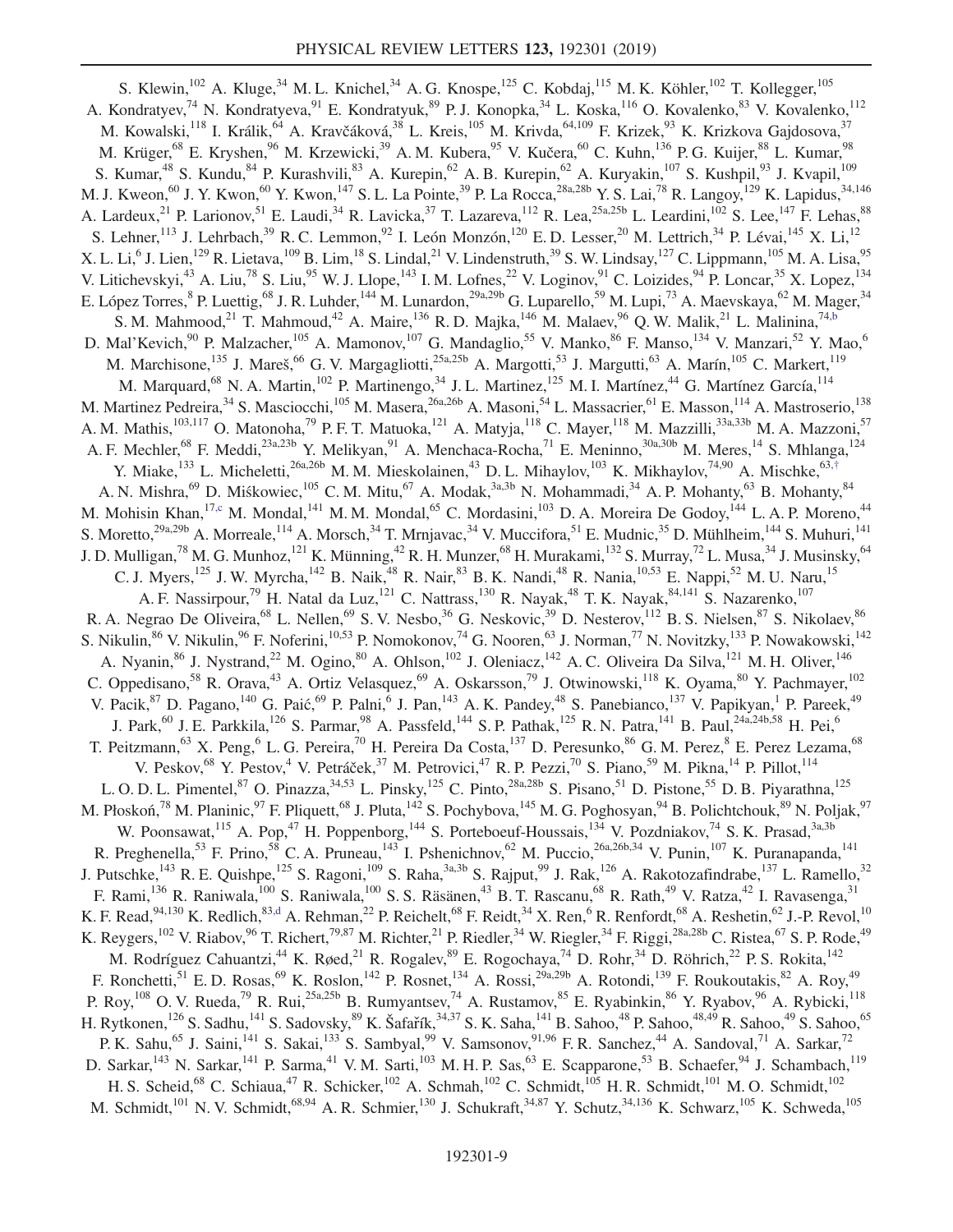<span id="page-8-3"></span><span id="page-8-2"></span><span id="page-8-1"></span><span id="page-8-0"></span>S. Klewin,<sup>102</sup> A. Kluge,<sup>34</sup> M. L. Knichel,<sup>34</sup> A. G. Knospe,<sup>125</sup> C. Kobdaj,<sup>115</sup> M. K. Köhler,<sup>102</sup> T. Kollegger,<sup>105</sup> A. Kondratyev,<sup>74</sup> N. Kondratyeva,<sup>91</sup> E. Kondratyuk,<sup>89</sup> P.J. Konopka,<sup>34</sup> L. Koska,<sup>116</sup> O. Kovalenko,<sup>83</sup> V. Kovalenko,<sup>112</sup> M. Kowalski,<sup>118</sup> I. Králik,<sup>64</sup> A. Kravčáková,<sup>38</sup> L. Kreis,<sup>105</sup> M. Krivda,<sup>64,109</sup> F. Krizek,<sup>93</sup> K. Krizkova Gajdosova,<sup>37</sup> M. Krüger,<sup>68</sup> E. Kryshen,<sup>96</sup> M. Krzewicki,<sup>39</sup> A. M. Kubera,<sup>95</sup> V. Kučera,<sup>60</sup> C. Kuhn,<sup>136</sup> P. G. Kuijer,<sup>88</sup> L. Kumar,<sup>98</sup> S. Kumar,<sup>48</sup> S. Kundu,<sup>84</sup> P. Kurashvili,<sup>83</sup> A. Kurepin,<sup>62</sup> A. B. Kurepin,<sup>62</sup> A. Kuryakin,<sup>107</sup> S. Kushpil,<sup>93</sup> J. Kvapil,<sup>109</sup> M. J. Kweon,<sup>60</sup> J. Y. Kwon,<sup>60</sup> Y. Kwon,<sup>147</sup> S. L. La Pointe,<sup>39</sup> P. La Rocca,<sup>28a,28b</sup> Y. S. Lai,<sup>78</sup> R. Langoy,<sup>129</sup> K. Lapidus,<sup>34,146</sup> A. Lardeux,<sup>21</sup> P. Larionov,<sup>51</sup> E. Laudi,<sup>34</sup> R. Lavicka,<sup>37</sup> T. Lazareva,<sup>112</sup> R. Lea,<sup>25a,25b</sup> L. Leardini,<sup>102</sup> S. Lee,<sup>147</sup> F. Lehas,<sup>88</sup> S. Lehner,<sup>113</sup> J. Lehrbach,<sup>39</sup> R. C. Lemmon,<sup>92</sup> I. León Monzón,<sup>120</sup> E. D. Lesser,<sup>20</sup> M. Lettrich,<sup>34</sup> P. Lévai,<sup>145</sup> X. Li,<sup>12</sup> X. L. Li,<sup>6</sup> J. Lien,<sup>129</sup> R. Lietava,<sup>109</sup> B. Lim,<sup>18</sup> S. Lindal,<sup>21</sup> V. Lindenstruth,<sup>39</sup> S. W. Lindsay,<sup>127</sup> C. Lippmann,<sup>105</sup> M. A. Lisa,<sup>95</sup> V. Litichevskyi,<sup>43</sup> A. Liu,<sup>78</sup> S. Liu,<sup>95</sup> W. J. Llope,<sup>143</sup> I. M. Lofnes,<sup>22</sup> V. Loginov,<sup>91</sup> C. Loizides,<sup>94</sup> P. Loncar,<sup>35</sup> X. Lopez,<sup>134</sup> E. López Torres, <sup>8</sup> P. Luettig, <sup>68</sup> J. R. Luhder, <sup>144</sup> M. Lunardon, <sup>29a,29b</sup> G. Luparello, <sup>59</sup> M. Lupi, <sup>73</sup> A. Maevskaya, <sup>62</sup> M. Mager, <sup>34</sup> S. M. Mahmood,<sup>21</sup> T. Mahmoud,<sup>42</sup> A. Maire,<sup>136</sup> R. D. Majka,<sup>146</sup> M. Malaev,<sup>96</sup> Q. W. Malik,<sup>21</sup> L. Malinina,<sup>7[4,b](#page-12-1)</sup> D. Mal'Kevich,<sup>90</sup> P. Malzacher,<sup>105</sup> A. Mamonov,<sup>107</sup> G. Mandaglio,<sup>55</sup> V. Manko,<sup>86</sup> F. Manso,<sup>134</sup> V. Manzari,<sup>52</sup> Y. Mao,<sup>6</sup> M. Marchisone,<sup>135</sup> J. Mareš,<sup>66</sup> G. V. Margagliotti,<sup>25a,25b</sup> A. Margotti,<sup>53</sup> J. Margutti,<sup>63</sup> A. Marín,<sup>105</sup> C. Markert,<sup>119</sup> M. Marquard,<sup>68</sup> N. A. Martin, <sup>102</sup> P. Martinengo, <sup>34</sup> J. L. Martinez, <sup>125</sup> M. I. Martínez, <sup>44</sup> G. Martínez García, <sup>114</sup> M. Martinez Pedreira,<sup>34</sup> S. Masciocchi,<sup>105</sup> M. Masera,<sup>26a,26b</sup> A. Masoni,<sup>54</sup> L. Massacrier,<sup>61</sup> E. Masson,<sup>114</sup> A. Mastroserio,<sup>138</sup> A. M. Mathis,<sup>103,117</sup> O. Matonoha,<sup>79</sup> P. F. T. Matuoka,<sup>121</sup> A. Matyja,<sup>118</sup> C. Mayer,<sup>118</sup> M. Mazzilli,<sup>33a,33b</sup> M. A. Mazzoni,<sup>57</sup> A. F. Mechler,<sup>68</sup> F. Meddi,<sup>23a,23b</sup> Y. Melikyan,<sup>91</sup> A. Menchaca-Rocha,<sup>71</sup> E. Meninno,<sup>30a,30b</sup> M. Meres,<sup>14</sup> S. Mhlanga,<sup>124</sup> Y. Miake,<sup>133</sup> L. Micheletti,<sup>26a,26b</sup> M. M. Mieskolainen,<sup>43</sup> D. L. Mihaylov,<sup>103</sup> K. Mikhaylov,<sup>74,90</sup> A. Mischke,<sup>63,[†](#page-12-2)</sup> A. N. Mishra,<sup>69</sup> D. Miśkowiec,<sup>105</sup> C. M. Mitu,<sup>67</sup> A. Modak,<sup>3a,3b</sup> N. Mohammadi,<sup>34</sup> A. P. Mohanty,<sup>63</sup> B. Mohanty,<sup>84</sup> M. Mohisin Khan, <sup>1[7,c](#page-12-3)</sup> M. Mondal, <sup>141</sup> M. M. Mondal, <sup>65</sup> C. Mordasini, <sup>103</sup> D. A. Moreira De Godoy, <sup>144</sup> L. A. P. Moreno, <sup>44</sup> S. Moretto,<sup>29a,29b</sup> A. Morreale,<sup>114</sup> A. Morsch,<sup>34</sup> T. Mrnjavac,<sup>34</sup> V. Muccifora,<sup>51</sup> E. Mudnic,<sup>35</sup> D. Mühlheim,<sup>144</sup> S. Muhuri,<sup>141</sup> J. D. Mulligan,<sup>78</sup> M. G. Munhoz,<sup>121</sup> K. Münning,<sup>42</sup> R. H. Munzer,<sup>68</sup> H. Murakami,<sup>132</sup> S. Murray,<sup>72</sup> L. Musa,<sup>34</sup> J. Musinsky,<sup>64</sup> C. J. Myers,<sup>125</sup> J. W. Myrcha,<sup>142</sup> B. Naik,<sup>48</sup> R. Nair,<sup>83</sup> B. K. Nandi,<sup>48</sup> R. Nania,<sup>10,53</sup> E. Nappi,<sup>52</sup> M. U. Naru,<sup>15</sup> A. F. Nassirpour,<sup>79</sup> H. Natal da Luz,<sup>121</sup> C. Nattrass,<sup>130</sup> R. Nayak,<sup>48</sup> T. K. Nayak,<sup>84,141</sup> S. Nazarenko,<sup>107</sup> R. A. Negrao De Oliveira, <sup>68</sup> L. Nellen, <sup>69</sup> S. V. Nesbo, <sup>36</sup> G. Neskovic, <sup>39</sup> D. Nesterov, <sup>112</sup> B. S. Nielsen, <sup>87</sup> S. Nikolaev, <sup>86</sup> S. Nikulin,<sup>86</sup> V. Nikulin,<sup>96</sup> F. Noferini,<sup>10,53</sup> P. Nomokonov,<sup>74</sup> G. Nooren,<sup>63</sup> J. Norman,<sup>77</sup> N. Novitzky,<sup>133</sup> P. Nowakowski,<sup>142</sup> A. Nyanin,<sup>86</sup> J. Nystrand,<sup>22</sup> M. Ogino,<sup>80</sup> A. Ohlson,<sup>102</sup> J. Oleniacz,<sup>142</sup> A. C. Oliveira Da Silva,<sup>121</sup> M. H. Oliver,<sup>146</sup> C. Oppedisano,<sup>58</sup> R. Orava,<sup>43</sup> A. Ortiz Velasquez,<sup>69</sup> A. Oskarsson,<sup>79</sup> J. Otwinowski,<sup>118</sup> K. Oyama,<sup>80</sup> Y. Pachmayer,<sup>102</sup> V. Pacik, <sup>87</sup> D. Pagano, <sup>140</sup> G. Paić, <sup>69</sup> P. Palni, <sup>6</sup> J. Pan, <sup>143</sup> A. K. Pandey, <sup>48</sup> S. Panebianco, <sup>137</sup> V. Papikyan, <sup>1</sup> P. Pareek, <sup>49</sup> J. Park, $^{60}$  J. E. Parkkila, $^{126}$  S. Parmar, $^{98}$  A. Passfeld, $^{144}$  S. P. Pathak, $^{125}$  R. N. Patra, $^{141}$  B. Paul, $^{24a,24b,58}$  H. Pei, $^6$ T. Peitzmann,<sup>63</sup> X. Peng,<sup>6</sup> L. G. Pereira,<sup>70</sup> H. Pereira Da Costa,<sup>137</sup> D. Peresunko,<sup>86</sup> G. M. Perez,<sup>8</sup> E. Perez Lezama,<sup>68</sup> V. Peskov,<sup>68</sup> Y. Pestov,<sup>4</sup> V. Petráček,<sup>37</sup> M. Petrovici,<sup>47</sup> R. P. Pezzi,<sup>70</sup> S. Piano,<sup>59</sup> M. Pikna,<sup>14</sup> P. Pillot,<sup>114</sup> L. O. D. L. Pimentel,<sup>87</sup> O. Pinazza,<sup>34,53</sup> L. Pinsky,<sup>125</sup> C. Pinto,<sup>28a,28b</sup> S. Pisano,<sup>51</sup> D. Pistone,<sup>55</sup> D. B. Piyarathna,<sup>125</sup> M. Płoskoń,<sup>78</sup> M. Planinic,<sup>97</sup> F. Pliquett,<sup>68</sup> J. Pluta,<sup>142</sup> S. Pochybova,<sup>145</sup> M. G. Poghosyan,<sup>94</sup> B. Polichtchouk,<sup>89</sup> N. Poljak,<sup>97</sup> W. Poonsawat,<sup>115</sup> A. Pop,<sup>47</sup> H. Poppenborg,<sup>144</sup> S. Porteboeuf-Houssais,<sup>134</sup> V. Pozdniakov,<sup>74</sup> S. K. Prasad,<sup>3a,3b</sup> R. Preghenella,<sup>53</sup> F. Prino,<sup>58</sup> C. A. Pruneau,<sup>143</sup> I. Pshenichnov,<sup>62</sup> M. Puccio,<sup>26a,26b,34</sup> V. Punin,<sup>107</sup> K. Puranapanda,<sup>141</sup> J. Putschke,<sup>143</sup> R. E. Quishpe,<sup>125</sup> S. Ragoni,<sup>109</sup> S. Raha,<sup>3a,3b</sup> S. Rajput,<sup>99</sup> J. Rak,<sup>126</sup> A. Rakotozafindrabe,<sup>137</sup> L. Ramello,<sup>32</sup> F. Rami,<sup>136</sup> R. Raniwala,<sup>100</sup> S. Raniwala,<sup>100</sup> S. S. Räsänen,<sup>43</sup> B. T. Rascanu,<sup>68</sup> R. Rath,<sup>49</sup> V. Ratza,<sup>42</sup> I. Ravasenga,<sup>31</sup> K. F. Read,  $94,130$  K. Redlich,  $83, d$  A. Rehman,  $22$  P. Reichelt,  $68$  F. Reidt,  $34$  X. Ren,  $6$  R. Renfordt,  $68$  A. Reshetin,  $62$  J.-P. Revol,  $10$ K. Reygers,<sup>102</sup> V. Riabov,<sup>96</sup> T. Richert,<sup>79,87</sup> M. Richter,<sup>21</sup> P. Riedler,<sup>34</sup> W. Riegler,<sup>34</sup> F. Riggi,<sup>28a,28b</sup> C. Ristea,<sup>67</sup> S. P. Rode,<sup>49</sup> M. Rodríguez Cahuantzi,<sup>44</sup> K. Røed,<sup>21</sup> R. Rogalev,<sup>89</sup> E. Rogochaya,<sup>74</sup> D. Rohr,<sup>34</sup> D. Röhrich,<sup>22</sup> P. S. Rokita,<sup>142</sup> F. Ronchetti,<sup>51</sup> E. D. Rosas,<sup>69</sup> K. Roslon,<sup>142</sup> P. Rosnet,<sup>134</sup> A. Rossi,<sup>29a,29b</sup> A. Rotondi,<sup>139</sup> F. Roukoutakis,<sup>82</sup> A. Roy,<sup>49</sup> P. Roy,<sup>108</sup> O. V. Rueda,<sup>79</sup> R. Rui,<sup>25a,25b</sup> B. Rumyantsev,<sup>74</sup> A. Rustamov,<sup>85</sup> E. Ryabinkin,<sup>86</sup> Y. Ryabov,<sup>96</sup> A. Rybicki,<sup>118</sup> H. Rytkonen,<sup>126</sup> S. Sadhu,<sup>141</sup> S. Sadovsky,<sup>89</sup> K. Šafařík,<sup>34,37</sup> S. K. Saha,<sup>141</sup> B. Sahoo,<sup>48</sup> P. Sahoo,<sup>48,49</sup> R. Sahoo,<sup>49</sup> S. Sahoo,<sup>65</sup> P. K. Sahu,<sup>65</sup> J. Saini,<sup>141</sup> S. Sakai,<sup>133</sup> S. Sambyal,<sup>99</sup> V. Samsonov,<sup>91,96</sup> F. R. Sanchez,<sup>44</sup> A. Sandoval,<sup>71</sup> A. Sarkar,<sup>72</sup> D. Sarkar, <sup>143</sup> N. Sarkar, <sup>141</sup> P. Sarma, <sup>41</sup> V. M. Sarti, <sup>103</sup> M. H. P. Sas, <sup>63</sup> E. Scapparone, <sup>53</sup> B. Schaefer, <sup>94</sup> J. Schambach, <sup>119</sup> H. S. Scheid,<sup>68</sup> C. Schiaua,<sup>47</sup> R. Schicker,<sup>102</sup> A. Schmah,<sup>102</sup> C. Schmidt,<sup>105</sup> H. R. Schmidt,<sup>101</sup> M. O. Schmidt,<sup>102</sup> M. Schmidt,<sup>101</sup> N. V. Schmidt,<sup>68,94</sup> A. R. Schmier,<sup>130</sup> J. Schukraft,<sup>34,87</sup> Y. Schutz,<sup>34,136</sup> K. Schwarz,<sup>105</sup> K. Schweda,<sup>105</sup>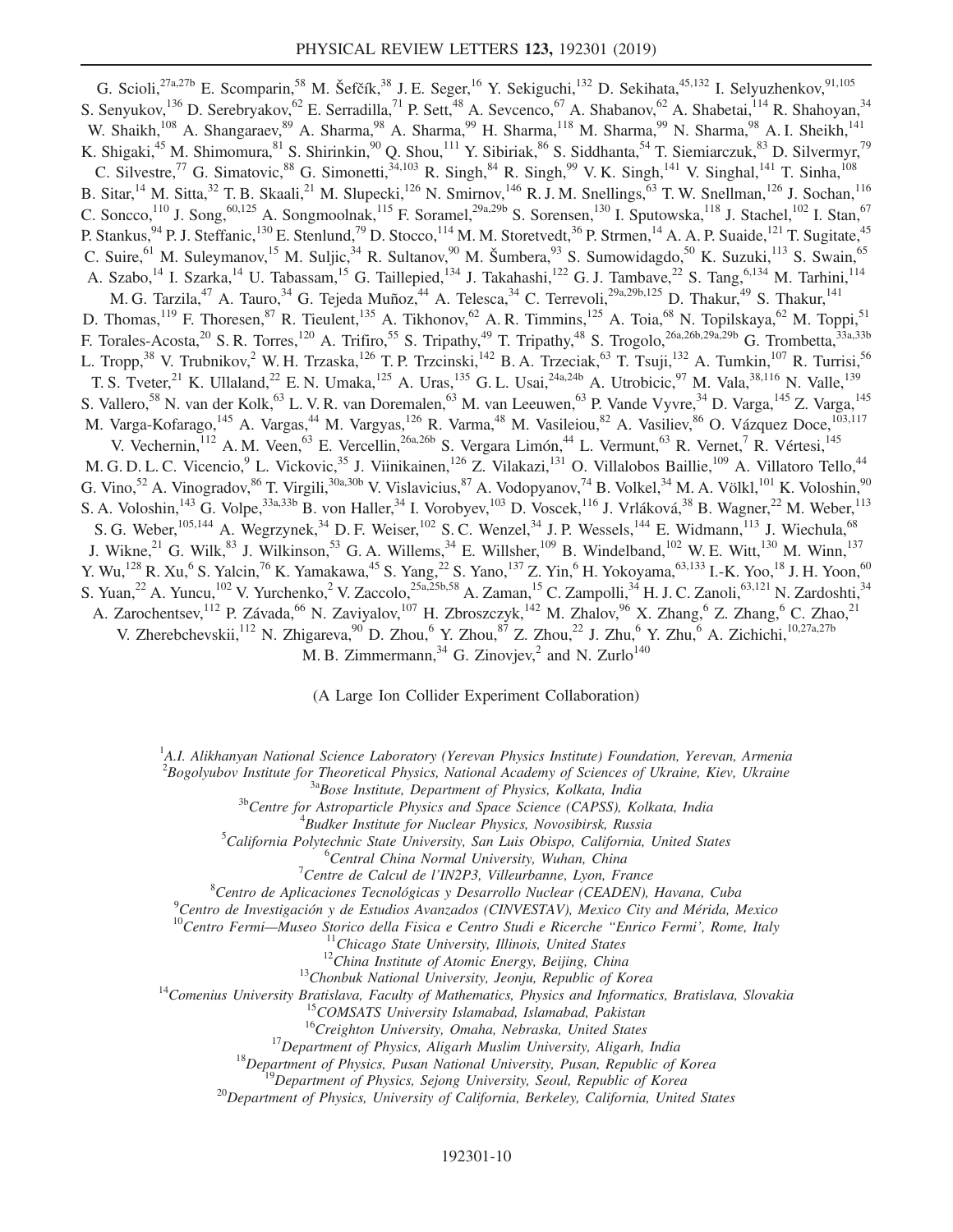G. Scioli,<sup>27a,27b</sup> E. Scomparin,<sup>58</sup> M. Šefčík,<sup>38</sup> J. E. Seger,<sup>16</sup> Y. Sekiguchi,<sup>132</sup> D. Sekihata,<sup>45,132</sup> I. Selyuzhenkov,<sup>91,105</sup> S. Senyukov,<sup>136</sup> D. Serebryakov,<sup>62</sup> E. Serradilla,<sup>71</sup> P. Sett,<sup>48</sup> A. Sevcenco,<sup>67</sup> A. Shabanov,<sup>62</sup> A. Shabetai,<sup>114</sup> R. Shahoyan,<sup>34</sup> W. Shaikh,<sup>108</sup> A. Shangaraev,<sup>89</sup> A. Sharma,<sup>98</sup> A. Sharma,<sup>99</sup> H. Sharma,<sup>118</sup> M. Sharma,<sup>99</sup> N. Sharma,<sup>98</sup> A. I. Sheikh,<sup>141</sup> K. Shigaki,<sup>45</sup> M. Shimomura,<sup>81</sup> S. Shirinkin,<sup>90</sup> Q. Shou,<sup>111</sup> Y. Sibiriak,<sup>86</sup> S. Siddhanta,<sup>54</sup> T. Siemiarczuk,<sup>83</sup> D. Silvermyr,<sup>79</sup> C. Silvestre,<sup>77</sup> G. Simatovic,<sup>88</sup> G. Simonetti,<sup>34,103</sup> R. Singh,<sup>84</sup> R. Singh,<sup>99</sup> V. K. Singh,<sup>141</sup> V. Singhal,<sup>141</sup> T. Sinha,<sup>108</sup> B. Sitar,<sup>14</sup> M. Sitta,<sup>32</sup> T. B. Skaali,<sup>21</sup> M. Slupecki,<sup>126</sup> N. Smirnov,<sup>146</sup> R. J. M. Snellings,<sup>63</sup> T. W. Snellman,<sup>126</sup> J. Sochan,<sup>116</sup> C. Soncco,<sup>110</sup> J. Song,<sup>60,125</sup> A. Songmoolnak,<sup>115</sup> F. Soramel,<sup>29a,29b</sup> S. Sorensen,<sup>130</sup> I. Sputowska,<sup>118</sup> J. Stachel,<sup>102</sup> I. Stan,<sup>67</sup> P. Stankus, <sup>94</sup> P. J. Steffanic, <sup>130</sup> E. Stenlund, <sup>79</sup> D. Stocco, <sup>114</sup> M. M. Storetvedt, <sup>36</sup> P. Strmen, <sup>14</sup> A. A. P. Suaide, <sup>121</sup> T. Sugitate, <sup>45</sup> C. Suire, <sup>61</sup> M. Suleymanov, <sup>15</sup> M. Suljic, <sup>34</sup> R. Sultanov, <sup>90</sup> M. Šumbera, <sup>93</sup> S. Sumowidagdo, <sup>50</sup> K. Suzuki, <sup>113</sup> S. Swain, <sup>65</sup> A. Szabo,<sup>14</sup> I. Szarka,<sup>14</sup> U. Tabassam,<sup>15</sup> G. Taillepied,<sup>134</sup> J. Takahashi,<sup>122</sup> G. J. Tambave,<sup>22</sup> S. Tang,<sup>6,134</sup> M. Tarhini,<sup>114</sup> M. G. Tarzila,<sup>47</sup> A. Tauro,<sup>34</sup> G. Tejeda Muñoz,<sup>44</sup> A. Telesca,<sup>34</sup> C. Terrevoli,<sup>29a,29b,125</sup> D. Thakur,<sup>49</sup> S. Thakur,<sup>141</sup> D. Thomas, <sup>119</sup> F. Thoresen, <sup>87</sup> R. Tieulent, <sup>135</sup> A. Tikhonov, <sup>62</sup> A. R. Timmins, <sup>125</sup> A. Toia, <sup>68</sup> N. Topilskaya, <sup>62</sup> M. Toppi, <sup>51</sup> F. Torales-Acosta,<sup>20</sup> S. R. Torres,<sup>120</sup> A. Trifiro,<sup>55</sup> S. Tripathy,<sup>49</sup> T. Tripathy,<sup>48</sup> S. Trogolo,<sup>26a,26b,29a,29b</sup> G. Trombetta,<sup>33a,33b</sup> L. Tropp,<sup>38</sup> V. Trubnikov,<sup>2</sup> W. H. Trzaska,<sup>126</sup> T. P. Trzcinski,<sup>142</sup> B. A. Trzeciak,<sup>63</sup> T. Tsuji,<sup>132</sup> A. Tumkin,<sup>107</sup> R. Turrisi,<sup>56</sup> T. S. Tveter,<sup>21</sup> K. Ullaland,<sup>22</sup> E. N. Umaka,<sup>125</sup> A. Uras,<sup>135</sup> G. L. Usai,<sup>24a,24b</sup> A. Utrobicic,<sup>97</sup> M. Vala,<sup>38,116</sup> N. Valle,<sup>139</sup> S. Vallero,<sup>58</sup> N. van der Kolk,<sup>63</sup> L. V. R. van Doremalen,<sup>63</sup> M. van Leeuwen,<sup>63</sup> P. Vande Vyvre,<sup>34</sup> D. Varga,<sup>145</sup> Z. Varga,<sup>145</sup> M. Varga-Kofarago,<sup>145</sup> A. Vargas,<sup>44</sup> M. Vargyas,<sup>126</sup> R. Varma,<sup>48</sup> M. Vasileiou,<sup>82</sup> A. Vasiliev,<sup>86</sup> O. Vázquez Doce,<sup>103,117</sup> V. Vechernin,<sup>112</sup> A. M. Veen,<sup>63</sup> E. Vercellin,<sup>26a,26b</sup> S. Vergara Limón,<sup>44</sup> L. Vermunt,<sup>63</sup> R. Vernet,<sup>7</sup> R. Vértesi,<sup>145</sup> M. G. D. L. C. Vicencio,<sup>9</sup> L. Vickovic,<sup>35</sup> J. Viinikainen,<sup>126</sup> Z. Vilakazi,<sup>131</sup> O. Villalobos Baillie,<sup>109</sup> A. Villatoro Tello,<sup>44</sup> G. Vino,<sup>52</sup> A. Vinogradov,<sup>86</sup> T. Virgili,<sup>30a,30b</sup> V. Vislavicius,<sup>87</sup> A. Vodopyanov,<sup>74</sup> B. Volkel,<sup>34</sup> M. A. Völkl,<sup>101</sup> K. Voloshin,<sup>90</sup> S. A. Voloshin, <sup>143</sup> G. Volpe, <sup>33a, 33b</sup> B. von Haller, <sup>34</sup> I. Vorobyev, <sup>103</sup> D. Voscek, <sup>116</sup> J. Vrláková, <sup>38</sup> B. Wagner, <sup>22</sup> M. Weber, <sup>113</sup> S. G. Weber,  $^{105,144}$  A. Wegrzynek,  $^{34}$  D. F. Weiser,  $^{102}$  S. C. Wenzel,  $^{34}$  J. P. Wessels,  $^{144}$  E. Widmann,  $^{113}$  J. Wiechula,  $^{68}$ J. Wikne,<sup>21</sup> G. Wilk,<sup>83</sup> J. Wilkinson,<sup>53</sup> G. A. Willems,<sup>34</sup> E. Willsher,<sup>109</sup> B. Windelband,<sup>102</sup> W. E. Witt,<sup>130</sup> M. Winn,<sup>137</sup> Y. Wu,<sup>128</sup> R. Xu,<sup>6</sup> S. Yalcin,<sup>76</sup> K. Yamakawa,<sup>45</sup> S. Yang,<sup>22</sup> S. Yano,<sup>137</sup> Z. Yin,<sup>6</sup> H. Yokoyama,<sup>63,133</sup> I.-K. Yoo,<sup>18</sup> J. H. Yoon,<sup>60</sup> S. Yuan,<sup>22</sup> A. Yuncu,<sup>102</sup> V. Yurchenko,<sup>2</sup> V. Zaccolo,<sup>25a,25b,58</sup> A. Zaman,<sup>15</sup> C. Zampolli,<sup>34</sup> H. J. C. Zanoli,<sup>63,121</sup> N. Zardoshti,<sup>34</sup> A. Zarochentsev,<sup>112</sup> P. Závada,<sup>66</sup> N. Zaviyalov,<sup>107</sup> H. Zbroszczyk,<sup>142</sup> M. Zhalov,<sup>96</sup> X. Zhang,<sup>6</sup> Z. Zhang,<sup>6</sup> C. Zhao,<sup>21</sup> V. Zherebchevskii,  $^{112}$  N. Zhigareva,  $^{90}$  D. Zhou,  $^{6}$  Y. Zhou,  $^{87}$  Z. Zhou,  $^{22}$  J. Zhu,  $^{6}$  Y. Zhu,  $^{6}$  A. Zichichi,  $^{10,27a,27b}$ M. B. Zimmermann,  $34$  G. Zinovjev,  $^2$  and N. Zurlo $^{140}$ 

(A Large Ion Collider Experiment Collaboration)

<sup>1</sup>A.I. Alikhanyan National Science Laboratory (Yerevan Physics Institute) Foundation, Yerevan, Armenia

<sup>2</sup>Bogolyubov Institute for Theoretical Physics, National Academy of Sciences of Ukraine, Kiev, Ukraine<br><sup>3a</sup>Bose Institute, Department of Physics, Kolkata, India<br><sup>3b</sup>Centre for Astroparticle Physics and Space Science (CAP

<sup>4</sup>Budker Institute for Nuclear Physics, Novosibirsk, Russia

 ${}^{5}$ California Polytechnic State University, San Luis Obispo, California, United States

<sup>6</sup>Central China Normal University, Wuhan, China

 $\sigma^7$ Centre de Calcul de l'IN2P3, Villeurbanne, Lyon, France

<sup>8</sup>Centro de Aplicaciones Tecnológicas y Desarrollo Nuclear (CEADEN), Havana, Cuba 9<sup>9</sup>Centro de Investigación y de Estudios Avanzados (CINVESTAV), Mexico City and Mérida, Mexico

<sup>9</sup>Centro de Investigación y de Estudios Avanzados (CINVESTAV), Mexico City and Mérida, Mexico<br><sup>10</sup>Centro Fermi—Museo Storico della Fisica e Centro Studi e Ricerche "Enrico Fermi", Rome, Italy<br><sup>11</sup>Chicago State University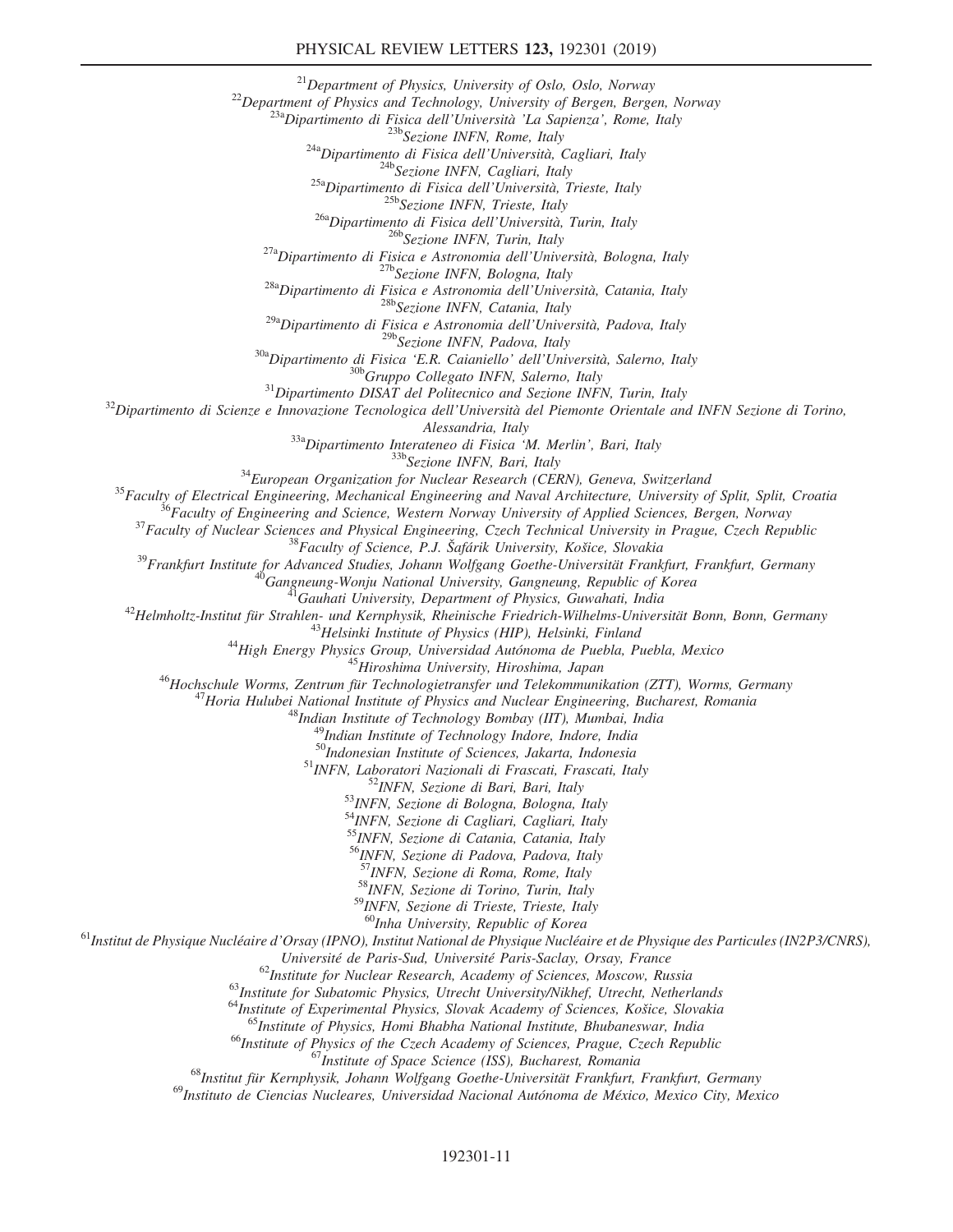## PHYSICAL REVIEW LETTERS 123, 192301 (2019)

<sup>21</sup>Department of Physics, University of Oslo, Oslo, Norway<br><sup>21</sup>Department of Physics and Technology, University of Bergen, Bergen, Norway<br><sup>23</sup><sup>23</sup>Dipartimento di Fisica dell'Università 'La Sapienza', Rome, Italy<br><sup>234</sup>Dip

<sup>30a</sup>Dipartimento di Fisica 'E.R. Caianiello' dell'Università, Salerno, Italy<br><sup>30</sup>6*Gruppo Collegato INFN, Salerno, Italy*<br><sup>31</sup>Dipartimento ai Scienze e Innovazione Tecnologica dell'Università del Piemonte Orientale and I

Massandria, Italy<br>
<sup>338</sup>Dipartimento Interate on Histoar M. Merlin', Bari, Italy<br>
<sup>338</sup>Dipartimento Interate DiFN, Bari, Italy<br>
<sup>338</sup>Sezione INFN, Bari, Italy<br>
<sup>338</sup>Sezione INFN, Bari, Italy<br>
<sup>35</sup>Seaculty of Engineering an

 $50$ Indonesian Institute of Sciences, Jakarta, Indonesia<br>  $51$ INFN, Laboratori Nazionali di Frascati, Frascati, Italy<br>  $52$ INFN, Sezione di Bari, Bari, Italy<br>  $53$ INFN, Sezione di Bologna, Bologna, Italy

<sup>54</sup>INFN, Sezione di Cagliari, Cagliari, Italy

55 INFN, Sezione di Catania, Catania, Italy

56<br>INFN, Sezione di Padova, Padova, Italy<br><sup>57</sup>INFN, Sezione di Roma, Rome, Italy

<sup>58</sup>INFN, Sezione di Torino, Turin, Italy

 $^{59}$ INFN, Sezione di Trieste, Trieste, Italy<br> $^{60}$ Inha University, Republic of Korea

<sup>61</sup>Institut de Physique Nucléaire d'Orsay (IPNO), Institut National de Physique Nucléaire et de Physique des Particules (IN2P3/CNRS),<br>Université de Paris-Sud, Université Paris-Saclay, Orsay, France

<sup>62</sup>Institute for Nuclear Research, Academy of Sciences, Moscow, Russia<br><sup>63</sup>Institute for Subatomic Physics, Utrecht University/Nikhef, Utrecht, Netherlands<br><sup>64</sup>Institute of Experimental Physics, Slovak Academy of Science

<sup>69</sup>Instituto de Ciencias Nucleares, Universidad Nacional Autónoma de México, Mexico City, Mexico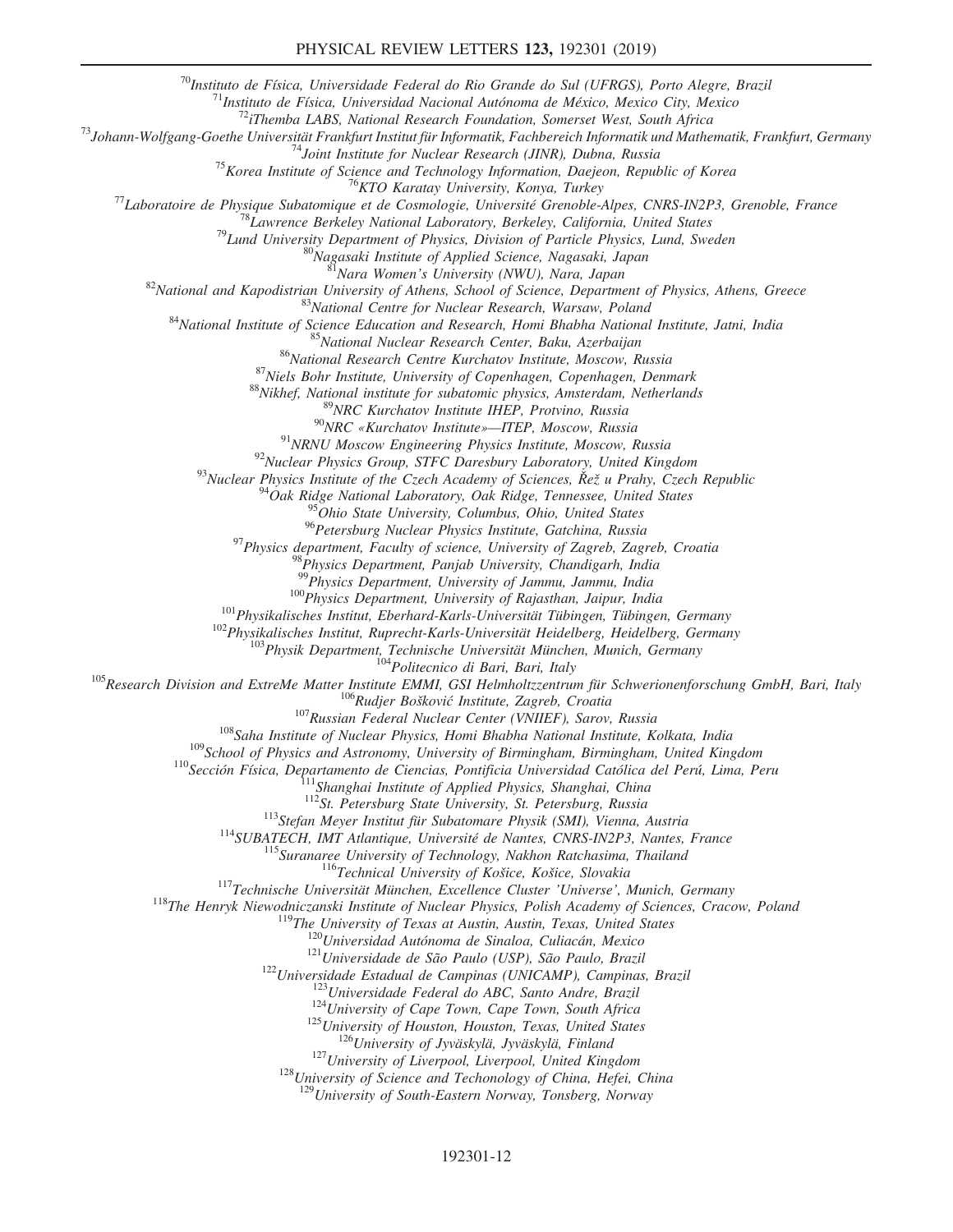<sup>70</sup>Institute de Fósica, Universidad Nacional Atomale de Mético, Nexico City, Mere, Brazil,  $P^2$ Institute de Fósica, Universidad Nacional Autómona de Mético, Nexico City, Mexico (17763).<br>
<sup>73</sup>Iohann-Wolfgang-Goethe Univ

<sup>95</sup>Ohio State University, Columbus, Ohio, United States<br><sup>96</sup>Petersburg Nuclear Physics Institute, Gatchina, Russia

<sup>97</sup>Physics department, Faculty of science, University of Zagreb, Zagreb, Croatia<br><sup>98</sup>Physics Department, Panjab University, Chandigarh, India<br><sup>99</sup>Physics Department, University of Jammu, Jammu, India

<sup>929</sup>Physics Department, University of Ramsula, anima, India<br>
<sup>929</sup>Physics Department, University of Rajasshan, Juiper, Italia<br>
<sup>929</sup>Physikalisches Institut, Ruerback-Karls-Universität Heidelberg, Heidelberg, Germany<br>
<sup>10</sup>

 $^{128}$ University of Science and Techonology of China, Hefei, China<br> $^{129}$ University of South-Eastern Norway, Tonsberg, Norway